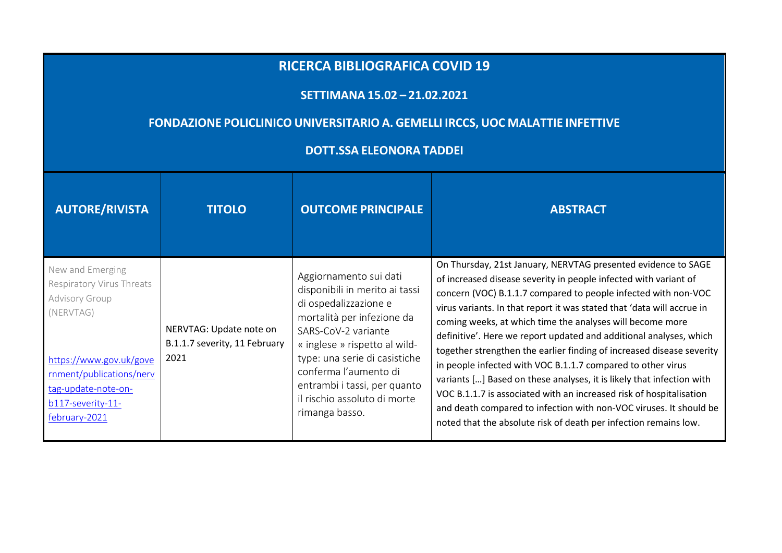## **RICERCA BIBLIOGRAFICA COVID <sup>19</sup>**

## **SETTIMANA 15.02 – 21.02.2021**

## **FONDAZIONE POLICLINICO UNIVERSITARIO A. GEMELLI IRCCS, UOC MALATTIE INFETTIVE**

## **DOTT.SSA ELEONORA TADDEI**

| <b>AUTORE/RIVISTA</b>                                                                                                                                                                                          | <b>TITOLO</b>                                                    | <b>OUTCOME PRINCIPALE</b>                                                                                                                                                                                                                                                                                           | <b>ABSTRACT</b>                                                                                                                                                                                                                                                                                                                                                                                                                                                                                                                                                                                                                                                                                                                                                                                                                                    |
|----------------------------------------------------------------------------------------------------------------------------------------------------------------------------------------------------------------|------------------------------------------------------------------|---------------------------------------------------------------------------------------------------------------------------------------------------------------------------------------------------------------------------------------------------------------------------------------------------------------------|----------------------------------------------------------------------------------------------------------------------------------------------------------------------------------------------------------------------------------------------------------------------------------------------------------------------------------------------------------------------------------------------------------------------------------------------------------------------------------------------------------------------------------------------------------------------------------------------------------------------------------------------------------------------------------------------------------------------------------------------------------------------------------------------------------------------------------------------------|
| New and Emerging<br><b>Respiratory Virus Threats</b><br><b>Advisory Group</b><br>(NERVTAG)<br>https://www.gov.uk/gove<br>rnment/publications/nerv<br>tag-update-note-on-<br>b117-severity-11-<br>february-2021 | NERVTAG: Update note on<br>B.1.1.7 severity, 11 February<br>2021 | Aggiornamento sui dati<br>disponibili in merito ai tassi<br>di ospedalizzazione e<br>mortalità per infezione da<br>SARS-CoV-2 variante<br>« inglese » rispetto al wild-<br>type: una serie di casistiche<br>conferma l'aumento di<br>entrambi i tassi, per quanto<br>il rischio assoluto di morte<br>rimanga basso. | On Thursday, 21st January, NERVTAG presented evidence to SAGE<br>of increased disease severity in people infected with variant of<br>concern (VOC) B.1.1.7 compared to people infected with non-VOC<br>virus variants. In that report it was stated that 'data will accrue in<br>coming weeks, at which time the analyses will become more<br>definitive'. Here we report updated and additional analyses, which<br>together strengthen the earlier finding of increased disease severity<br>in people infected with VOC B.1.1.7 compared to other virus<br>variants [] Based on these analyses, it is likely that infection with<br>VOC B.1.1.7 is associated with an increased risk of hospitalisation<br>and death compared to infection with non-VOC viruses. It should be<br>noted that the absolute risk of death per infection remains low. |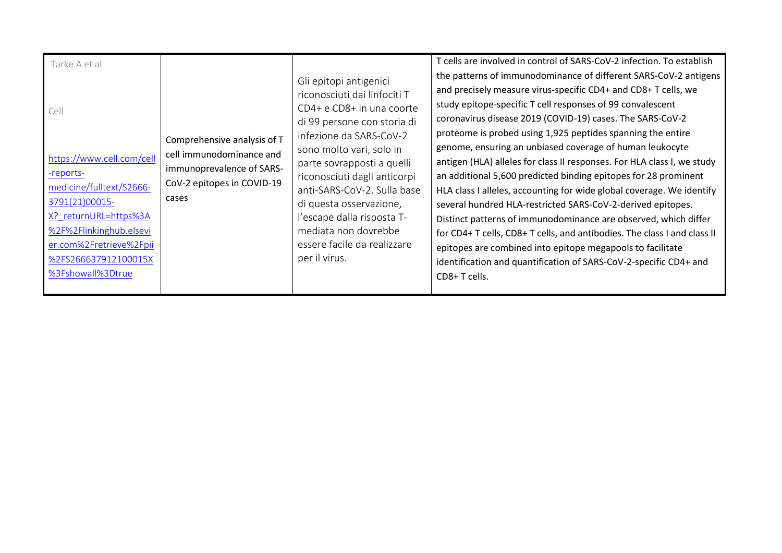| Tarke A et al<br>Cell<br>https://www.cell.com/cell<br>-reports-<br>medicine/fulltext/S2666-<br>3791(21)00015-<br>X? returnURL=https%3A<br>%2F%2Flinkinghub.elsevi<br>er.com%2Fretrieve%2Fpii<br>%2FS266637912100015X<br>%3Fshowall%3Dtrue | Comprehensive analysis of T<br>cell immunodominance and<br>immunoprevalence of SARS-<br>CoV-2 epitopes in COVID-19<br>cases | Gli epitopi antigenici<br>riconosciuti dai linfociti T<br>CD4+ e CD8+ in una coorte<br>di 99 persone con storia di<br>infezione da SARS-CoV-2<br>sono molto vari, solo in<br>parte sovrapposti a quelli<br>riconosciuti dagli anticorpi<br>anti-SARS-CoV-2. Sulla base<br>di questa osservazione,<br>l'escape dalla risposta T-<br>mediata non dovrebbe<br>essere facile da realizzare<br>per il virus. | T cells are involved in control of SARS-CoV-2 infection. To establish<br>the patterns of immunodominance of different SARS-CoV-2 antigens<br>and precisely measure virus-specific CD4+ and CD8+ T cells, we<br>study epitope-specific T cell responses of 99 convalescent<br>coronavirus disease 2019 (COVID-19) cases. The SARS-CoV-2<br>proteome is probed using 1,925 peptides spanning the entire<br>genome, ensuring an unbiased coverage of human leukocyte<br>antigen (HLA) alleles for class II responses. For HLA class I, we study<br>an additional 5,600 predicted binding epitopes for 28 prominent<br>HLA class I alleles, accounting for wide global coverage. We identify<br>several hundred HLA-restricted SARS-CoV-2-derived epitopes.<br>Distinct patterns of immunodominance are observed, which differ<br>for CD4+ T cells, CD8+ T cells, and antibodies. The class I and class II<br>epitopes are combined into epitope megapools to facilitate<br>identification and quantification of SARS-CoV-2-specific CD4+ and<br>CD8+T cells. |
|-------------------------------------------------------------------------------------------------------------------------------------------------------------------------------------------------------------------------------------------|-----------------------------------------------------------------------------------------------------------------------------|---------------------------------------------------------------------------------------------------------------------------------------------------------------------------------------------------------------------------------------------------------------------------------------------------------------------------------------------------------------------------------------------------------|-----------------------------------------------------------------------------------------------------------------------------------------------------------------------------------------------------------------------------------------------------------------------------------------------------------------------------------------------------------------------------------------------------------------------------------------------------------------------------------------------------------------------------------------------------------------------------------------------------------------------------------------------------------------------------------------------------------------------------------------------------------------------------------------------------------------------------------------------------------------------------------------------------------------------------------------------------------------------------------------------------------------------------------------------------------|
|-------------------------------------------------------------------------------------------------------------------------------------------------------------------------------------------------------------------------------------------|-----------------------------------------------------------------------------------------------------------------------------|---------------------------------------------------------------------------------------------------------------------------------------------------------------------------------------------------------------------------------------------------------------------------------------------------------------------------------------------------------------------------------------------------------|-----------------------------------------------------------------------------------------------------------------------------------------------------------------------------------------------------------------------------------------------------------------------------------------------------------------------------------------------------------------------------------------------------------------------------------------------------------------------------------------------------------------------------------------------------------------------------------------------------------------------------------------------------------------------------------------------------------------------------------------------------------------------------------------------------------------------------------------------------------------------------------------------------------------------------------------------------------------------------------------------------------------------------------------------------------|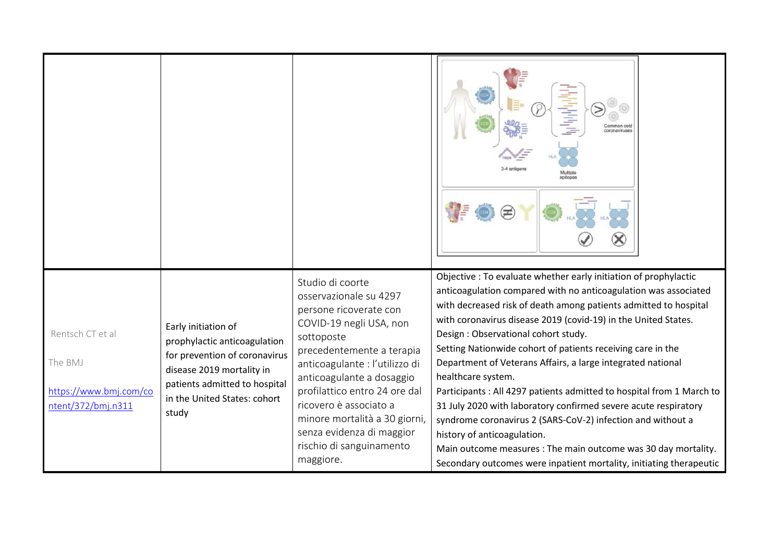| Rentsch CT et al<br>The BMJ<br>https://www.bmj.com/co<br>ntent/372/bmj.n311 | Early initiation of<br>prophylactic anticoagulation<br>for prevention of coronavirus<br>disease 2019 mortality in<br>patients admitted to hospital<br>in the United States: cohort<br>study | Studio di coorte<br>osservazionale su 4297<br>persone ricoverate con<br>COVID-19 negli USA, non<br>sottoposte<br>precedentemente a terapia<br>anticoagulante : l'utilizzo di<br>anticoagulante a dosaggio<br>profilattico entro 24 ore dal<br>ricovero è associato a<br>minore mortalità a 30 giorni,<br>senza evidenza di maggior<br>rischio di sanguinamento<br>maggiore. | Objective : To evaluate whether early initiation of prophylactic<br>anticoagulation compared with no anticoagulation was associated<br>with decreased risk of death among patients admitted to hospital<br>with coronavirus disease 2019 (covid-19) in the United States.<br>Design : Observational cohort study.<br>Setting Nationwide cohort of patients receiving care in the<br>Department of Veterans Affairs, a large integrated national<br>healthcare system.<br>Participants: All 4297 patients admitted to hospital from 1 March to<br>31 July 2020 with laboratory confirmed severe acute respiratory<br>syndrome coronavirus 2 (SARS-CoV-2) infection and without a<br>history of anticoagulation.<br>Main outcome measures : The main outcome was 30 day mortality.<br>Secondary outcomes were inpatient mortality, initiating therapeutic |
|-----------------------------------------------------------------------------|---------------------------------------------------------------------------------------------------------------------------------------------------------------------------------------------|-----------------------------------------------------------------------------------------------------------------------------------------------------------------------------------------------------------------------------------------------------------------------------------------------------------------------------------------------------------------------------|---------------------------------------------------------------------------------------------------------------------------------------------------------------------------------------------------------------------------------------------------------------------------------------------------------------------------------------------------------------------------------------------------------------------------------------------------------------------------------------------------------------------------------------------------------------------------------------------------------------------------------------------------------------------------------------------------------------------------------------------------------------------------------------------------------------------------------------------------------|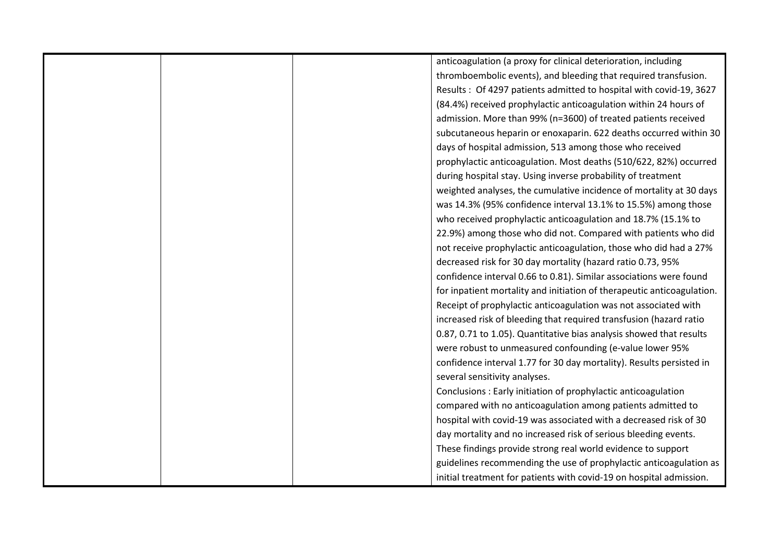|  | anticoagulation (a proxy for clinical deterioration, including         |
|--|------------------------------------------------------------------------|
|  | thromboembolic events), and bleeding that required transfusion.        |
|  | Results: Of 4297 patients admitted to hospital with covid-19, 3627     |
|  | (84.4%) received prophylactic anticoagulation within 24 hours of       |
|  | admission. More than 99% (n=3600) of treated patients received         |
|  | subcutaneous heparin or enoxaparin. 622 deaths occurred within 30      |
|  | days of hospital admission, 513 among those who received               |
|  | prophylactic anticoagulation. Most deaths (510/622, 82%) occurred      |
|  | during hospital stay. Using inverse probability of treatment           |
|  | weighted analyses, the cumulative incidence of mortality at 30 days    |
|  | was 14.3% (95% confidence interval 13.1% to 15.5%) among those         |
|  | who received prophylactic anticoagulation and 18.7% (15.1% to          |
|  | 22.9%) among those who did not. Compared with patients who did         |
|  | not receive prophylactic anticoagulation, those who did had a 27%      |
|  | decreased risk for 30 day mortality (hazard ratio 0.73, 95%            |
|  | confidence interval 0.66 to 0.81). Similar associations were found     |
|  | for inpatient mortality and initiation of therapeutic anticoagulation. |
|  | Receipt of prophylactic anticoagulation was not associated with        |
|  | increased risk of bleeding that required transfusion (hazard ratio     |
|  | 0.87, 0.71 to 1.05). Quantitative bias analysis showed that results    |
|  | were robust to unmeasured confounding (e-value lower 95%               |
|  | confidence interval 1.77 for 30 day mortality). Results persisted in   |
|  | several sensitivity analyses.                                          |
|  | Conclusions: Early initiation of prophylactic anticoagulation          |
|  | compared with no anticoagulation among patients admitted to            |
|  | hospital with covid-19 was associated with a decreased risk of 30      |
|  | day mortality and no increased risk of serious bleeding events.        |
|  | These findings provide strong real world evidence to support           |
|  | guidelines recommending the use of prophylactic anticoagulation as     |
|  | initial treatment for patients with covid-19 on hospital admission.    |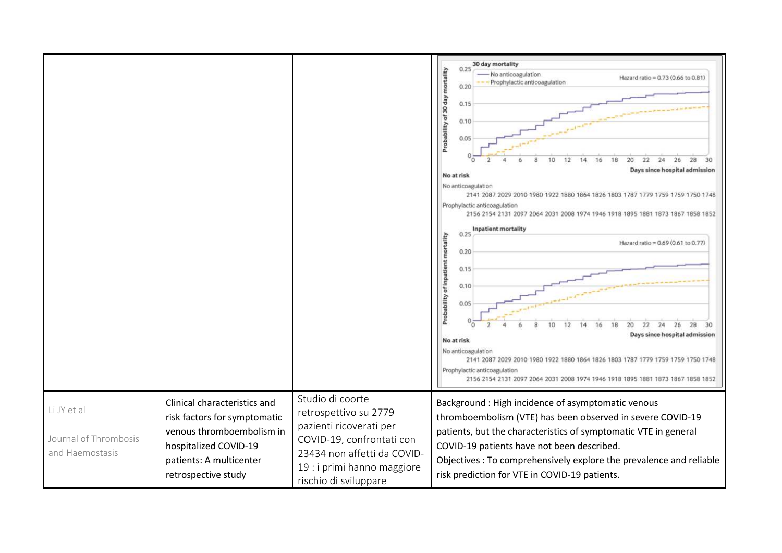|                                                         |                                                                                                                                                                      |                                                                                                                                                                                          | 30 day mortality<br>0.25<br>Probability of 30 day mortality<br>No anticoagulation<br>Hazard ratio = 0.73 (0.66 to 0.81)<br>Prophylactic anticoagulation<br>0.20<br>0.15<br>0.10<br>0.05<br>28<br>24<br>26<br>Days since hospital admission<br>No at risk<br>No anticoagulation<br>2141 2087 2029 2010 1980 1922 1880 1864 1826 1803 1787 1779 1759 1759 1750 1748<br>Prophylactic anticoagulation<br>2156 2154 2131 2097 2064 2031 2008 1974 1946 1918 1895 1881 1873 1867 1858 1852<br>Inpatient mortality<br>0.25<br>Probability of Inpatient mortality<br>Hazard ratio = 0.69 (0.61 to 0.77)<br>0.20<br>0.15<br>0.10<br>0.05<br>26<br>28<br>30<br>24<br>10<br>18<br>22<br>16<br>Days since hospital admission<br>No at risk<br>No anticoagulation<br>2141 2087 2029 2010 1980 1922 1880 1864 1826 1803 1787 1779 1759 1759 1750 1748<br>Prophylactic anticoagulation<br>2156 2154 2131 2097 2064 2031 2008 1974 1946 1918 1895 1881 1873 1867 1858 1852 |
|---------------------------------------------------------|----------------------------------------------------------------------------------------------------------------------------------------------------------------------|------------------------------------------------------------------------------------------------------------------------------------------------------------------------------------------|------------------------------------------------------------------------------------------------------------------------------------------------------------------------------------------------------------------------------------------------------------------------------------------------------------------------------------------------------------------------------------------------------------------------------------------------------------------------------------------------------------------------------------------------------------------------------------------------------------------------------------------------------------------------------------------------------------------------------------------------------------------------------------------------------------------------------------------------------------------------------------------------------------------------------------------------------------|
| Li JY et al<br>Journal of Thrombosis<br>and Haemostasis | Clinical characteristics and<br>risk factors for symptomatic<br>venous thromboembolism in<br>hospitalized COVID-19<br>patients: A multicenter<br>retrospective study | Studio di coorte<br>retrospettivo su 2779<br>pazienti ricoverati per<br>COVID-19, confrontati con<br>23434 non affetti da COVID-<br>19 : i primi hanno maggiore<br>rischio di sviluppare | Background : High incidence of asymptomatic venous<br>thromboembolism (VTE) has been observed in severe COVID-19<br>patients, but the characteristics of symptomatic VTE in general<br>COVID-19 patients have not been described.<br>Objectives : To comprehensively explore the prevalence and reliable<br>risk prediction for VTE in COVID-19 patients.                                                                                                                                                                                                                                                                                                                                                                                                                                                                                                                                                                                                  |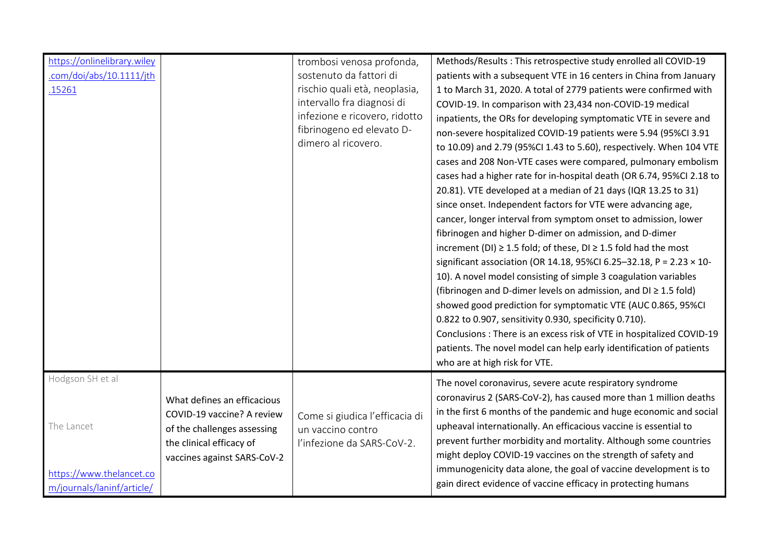| https://onlinelibrary.wiley<br>.com/doi/abs/10.1111/jth<br>.15261    |                                                                                                                                                     | trombosi venosa profonda,<br>sostenuto da fattori di<br>rischio quali età, neoplasia,<br>intervallo fra diagnosi di<br>infezione e ricovero, ridotto<br>fibrinogeno ed elevato D-<br>dimero al ricovero. | Methods/Results: This retrospective study enrolled all COVID-19<br>patients with a subsequent VTE in 16 centers in China from January<br>1 to March 31, 2020. A total of 2779 patients were confirmed with<br>COVID-19. In comparison with 23,434 non-COVID-19 medical<br>inpatients, the ORs for developing symptomatic VTE in severe and<br>non-severe hospitalized COVID-19 patients were 5.94 (95%CI 3.91<br>to 10.09) and 2.79 (95%CI 1.43 to 5.60), respectively. When 104 VTE<br>cases and 208 Non-VTE cases were compared, pulmonary embolism<br>cases had a higher rate for in-hospital death (OR 6.74, 95%CI 2.18 to<br>20.81). VTE developed at a median of 21 days (IQR 13.25 to 31)<br>since onset. Independent factors for VTE were advancing age,<br>cancer, longer interval from symptom onset to admission, lower<br>fibrinogen and higher D-dimer on admission, and D-dimer<br>increment (DI) $\geq$ 1.5 fold; of these, DI $\geq$ 1.5 fold had the most<br>significant association (OR 14.18, 95%CI 6.25-32.18, P = 2.23 $\times$ 10-<br>10). A novel model consisting of simple 3 coagulation variables<br>(fibrinogen and D-dimer levels on admission, and $DI \geq 1.5$ fold)<br>showed good prediction for symptomatic VTE (AUC 0.865, 95%CI<br>0.822 to 0.907, sensitivity 0.930, specificity 0.710).<br>Conclusions : There is an excess risk of VTE in hospitalized COVID-19<br>patients. The novel model can help early identification of patients<br>who are at high risk for VTE. |
|----------------------------------------------------------------------|-----------------------------------------------------------------------------------------------------------------------------------------------------|----------------------------------------------------------------------------------------------------------------------------------------------------------------------------------------------------------|----------------------------------------------------------------------------------------------------------------------------------------------------------------------------------------------------------------------------------------------------------------------------------------------------------------------------------------------------------------------------------------------------------------------------------------------------------------------------------------------------------------------------------------------------------------------------------------------------------------------------------------------------------------------------------------------------------------------------------------------------------------------------------------------------------------------------------------------------------------------------------------------------------------------------------------------------------------------------------------------------------------------------------------------------------------------------------------------------------------------------------------------------------------------------------------------------------------------------------------------------------------------------------------------------------------------------------------------------------------------------------------------------------------------------------------------------------------------------------------------------------------|
| Hodgson SH et al                                                     |                                                                                                                                                     |                                                                                                                                                                                                          |                                                                                                                                                                                                                                                                                                                                                                                                                                                                                                                                                                                                                                                                                                                                                                                                                                                                                                                                                                                                                                                                                                                                                                                                                                                                                                                                                                                                                                                                                                                |
| The Lancet<br>https://www.thelancet.co<br>m/journals/laninf/article/ | What defines an efficacious<br>COVID-19 vaccine? A review<br>of the challenges assessing<br>the clinical efficacy of<br>vaccines against SARS-CoV-2 | Come si giudica l'efficacia di<br>un vaccino contro<br>l'infezione da SARS-CoV-2.                                                                                                                        | The novel coronavirus, severe acute respiratory syndrome<br>coronavirus 2 (SARS-CoV-2), has caused more than 1 million deaths<br>in the first 6 months of the pandemic and huge economic and social<br>upheaval internationally. An efficacious vaccine is essential to<br>prevent further morbidity and mortality. Although some countries<br>might deploy COVID-19 vaccines on the strength of safety and<br>immunogenicity data alone, the goal of vaccine development is to<br>gain direct evidence of vaccine efficacy in protecting humans                                                                                                                                                                                                                                                                                                                                                                                                                                                                                                                                                                                                                                                                                                                                                                                                                                                                                                                                                               |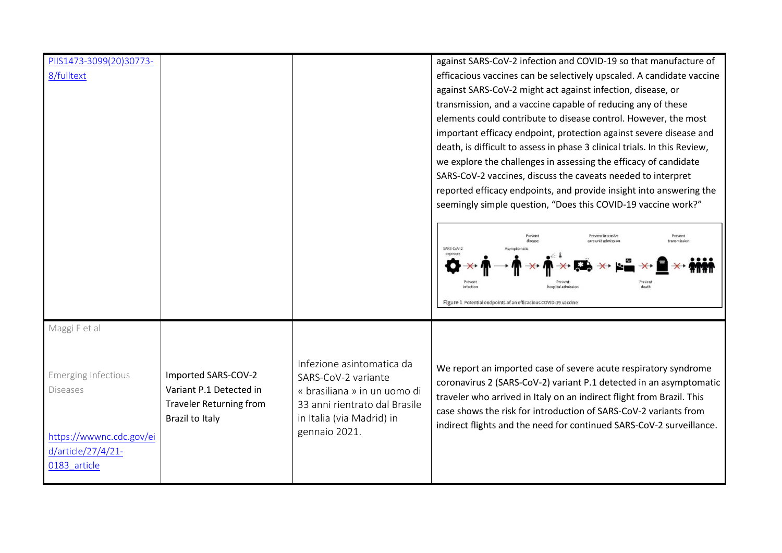| PIIS1473-3099(20)30773-    |                         |                               | against SARS-CoV-2 infection and COVID-19 so that manufacture of          |
|----------------------------|-------------------------|-------------------------------|---------------------------------------------------------------------------|
| 8/fulltext                 |                         |                               | efficacious vaccines can be selectively upscaled. A candidate vaccine     |
|                            |                         |                               | against SARS-CoV-2 might act against infection, disease, or               |
|                            |                         |                               | transmission, and a vaccine capable of reducing any of these              |
|                            |                         |                               | elements could contribute to disease control. However, the most           |
|                            |                         |                               | important efficacy endpoint, protection against severe disease and        |
|                            |                         |                               | death, is difficult to assess in phase 3 clinical trials. In this Review, |
|                            |                         |                               | we explore the challenges in assessing the efficacy of candidate          |
|                            |                         |                               | SARS-CoV-2 vaccines, discuss the caveats needed to interpret              |
|                            |                         |                               | reported efficacy endpoints, and provide insight into answering the       |
|                            |                         |                               | seemingly simple question, "Does this COVID-19 vaccine work?"             |
|                            |                         |                               |                                                                           |
|                            |                         |                               | www.tintensiw                                                             |
|                            |                         |                               | SARS-CoV-2                                                                |
|                            |                         |                               |                                                                           |
|                            |                         |                               |                                                                           |
|                            |                         |                               |                                                                           |
|                            |                         |                               | Figure 1 Potential endpoints of an efficacious COVID-19 vaccine           |
|                            |                         |                               |                                                                           |
| Maggi F et al              |                         |                               |                                                                           |
|                            |                         |                               |                                                                           |
|                            |                         | Infezione asintomatica da     |                                                                           |
| <b>Emerging Infectious</b> | Imported SARS-COV-2     | SARS-CoV-2 variante           | We report an imported case of severe acute respiratory syndrome           |
| <b>Diseases</b>            | Variant P.1 Detected in | « brasiliana » in un uomo di  | coronavirus 2 (SARS-CoV-2) variant P.1 detected in an asymptomatic        |
|                            | Traveler Returning from | 33 anni rientrato dal Brasile | traveler who arrived in Italy on an indirect flight from Brazil. This     |
|                            | Brazil to Italy         | in Italia (via Madrid) in     | case shows the risk for introduction of SARS-CoV-2 variants from          |
| https://wwwnc.cdc.gov/ei   |                         | gennaio 2021.                 | indirect flights and the need for continued SARS-CoV-2 surveillance.      |
| d/article/27/4/21-         |                         |                               |                                                                           |
| 0183 article               |                         |                               |                                                                           |
|                            |                         |                               |                                                                           |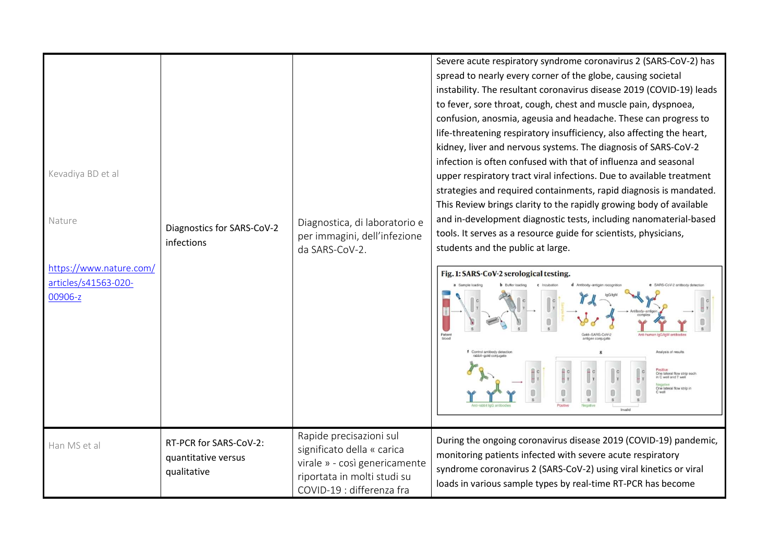| Kevadiya BD et al<br>Nature<br>https://www.nature.com/<br>articles/s41563-020-<br>00906-z | Diagnostics for SARS-CoV-2<br>infections                     | Diagnostica, di laboratorio e<br>per immagini, dell'infezione<br>da SARS-CoV-2.                                                                    | Severe acute respiratory syndrome coronavirus 2 (SARS-CoV-2) has<br>spread to nearly every corner of the globe, causing societal<br>instability. The resultant coronavirus disease 2019 (COVID-19) leads<br>to fever, sore throat, cough, chest and muscle pain, dyspnoea,<br>confusion, anosmia, ageusia and headache. These can progress to<br>life-threatening respiratory insufficiency, also affecting the heart,<br>kidney, liver and nervous systems. The diagnosis of SARS-CoV-2<br>infection is often confused with that of influenza and seasonal<br>upper respiratory tract viral infections. Due to available treatment<br>strategies and required containments, rapid diagnosis is mandated.<br>This Review brings clarity to the rapidly growing body of available<br>and in-development diagnostic tests, including nanomaterial-based<br>tools. It serves as a resource guide for scientists, physicians,<br>students and the public at large.<br>Fig. 1: SARS-CoV-2 serological testing.<br>old-SARS-CoV-3<br>Analysis of results<br>Control antibody detectio<br>One lateral flow strip each<br>in C well and T well<br>One lateral flow strip in |
|-------------------------------------------------------------------------------------------|--------------------------------------------------------------|----------------------------------------------------------------------------------------------------------------------------------------------------|---------------------------------------------------------------------------------------------------------------------------------------------------------------------------------------------------------------------------------------------------------------------------------------------------------------------------------------------------------------------------------------------------------------------------------------------------------------------------------------------------------------------------------------------------------------------------------------------------------------------------------------------------------------------------------------------------------------------------------------------------------------------------------------------------------------------------------------------------------------------------------------------------------------------------------------------------------------------------------------------------------------------------------------------------------------------------------------------------------------------------------------------------------------------|
| Han MS et al                                                                              | RT-PCR for SARS-CoV-2:<br>quantitative versus<br>qualitative | Rapide precisazioni sul<br>significato della « carica<br>virale » - così genericamente<br>riportata in molti studi su<br>COVID-19 : differenza fra | During the ongoing coronavirus disease 2019 (COVID-19) pandemic,<br>monitoring patients infected with severe acute respiratory<br>syndrome coronavirus 2 (SARS-CoV-2) using viral kinetics or viral<br>loads in various sample types by real-time RT-PCR has become                                                                                                                                                                                                                                                                                                                                                                                                                                                                                                                                                                                                                                                                                                                                                                                                                                                                                                 |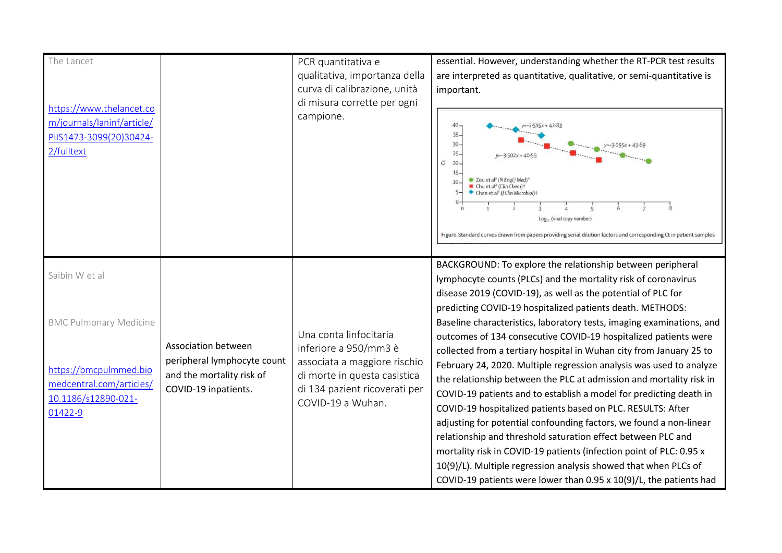| The Lancet<br>https://www.thelancet.co<br>m/journals/laninf/article/<br>PIIS1473-3099(20)30424-<br>2/fulltext                           |                                                                                                         | PCR quantitativa e<br>qualitativa, importanza della<br>curva di calibrazione, unità<br>di misura corrette per ogni<br>campione.                                       | essential. However, understanding whether the RT-PCR test results<br>are interpreted as quantitative, qualitative, or semi-quantitative is<br>important.<br>40<br>$y=-2.515x + 42.83$<br>$35 -$<br>$30 -$<br>$y=-3.095x + 43.69$<br>$25 -$<br>$y=-3.502x + 40.55$<br>$20 -$<br>5<br>15.<br>● Zou et al <sup>2</sup> (N Engl J Med) <sup>*</sup><br>10<br>Chu et al <sup>4</sup> (Clin Chem) <sup>†</sup><br>Chan et al <sup>5</sup> (J Clin Microbiol)‡<br>Log <sub>10</sub> (viral copy number)<br>Figure Standard curves drawn from papers providing serial dilution factors and corresponding Ct in patient samples                                                                                                                                                                                                                                                                                                                                                                                                                                                                                                |
|-----------------------------------------------------------------------------------------------------------------------------------------|---------------------------------------------------------------------------------------------------------|-----------------------------------------------------------------------------------------------------------------------------------------------------------------------|-----------------------------------------------------------------------------------------------------------------------------------------------------------------------------------------------------------------------------------------------------------------------------------------------------------------------------------------------------------------------------------------------------------------------------------------------------------------------------------------------------------------------------------------------------------------------------------------------------------------------------------------------------------------------------------------------------------------------------------------------------------------------------------------------------------------------------------------------------------------------------------------------------------------------------------------------------------------------------------------------------------------------------------------------------------------------------------------------------------------------|
| Saibin W et al<br><b>BMC Pulmonary Medicine</b><br>https://bmcpulmmed.bio<br>medcentral.com/articles/<br>10.1186/s12890-021-<br>01422-9 | Association between<br>peripheral lymphocyte count<br>and the mortality risk of<br>COVID-19 inpatients. | Una conta linfocitaria<br>inferiore a 950/mm3 è<br>associata a maggiore rischio<br>di morte in questa casistica<br>di 134 pazient ricoverati per<br>COVID-19 a Wuhan. | BACKGROUND: To explore the relationship between peripheral<br>lymphocyte counts (PLCs) and the mortality risk of coronavirus<br>disease 2019 (COVID-19), as well as the potential of PLC for<br>predicting COVID-19 hospitalized patients death. METHODS:<br>Baseline characteristics, laboratory tests, imaging examinations, and<br>outcomes of 134 consecutive COVID-19 hospitalized patients were<br>collected from a tertiary hospital in Wuhan city from January 25 to<br>February 24, 2020. Multiple regression analysis was used to analyze<br>the relationship between the PLC at admission and mortality risk in<br>COVID-19 patients and to establish a model for predicting death in<br>COVID-19 hospitalized patients based on PLC. RESULTS: After<br>adjusting for potential confounding factors, we found a non-linear<br>relationship and threshold saturation effect between PLC and<br>mortality risk in COVID-19 patients (infection point of PLC: 0.95 x<br>10(9)/L). Multiple regression analysis showed that when PLCs of<br>COVID-19 patients were lower than 0.95 x 10(9)/L, the patients had |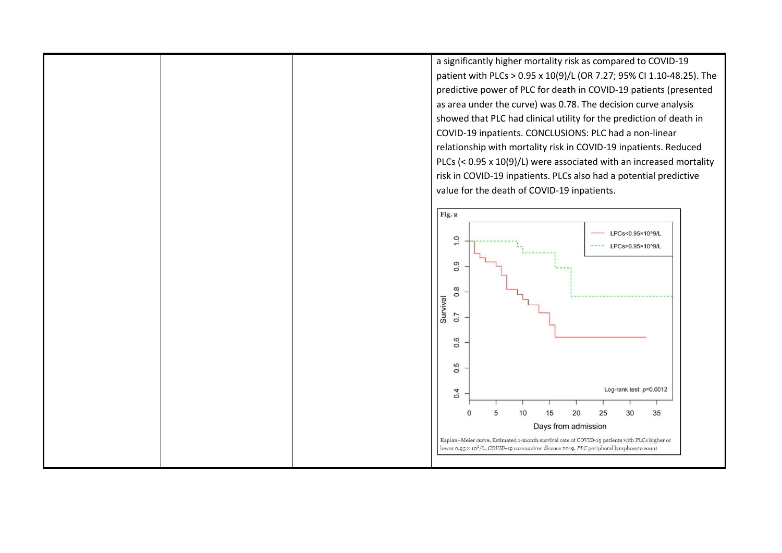a significantly higher mortality risk as compared to COVID-19 patient with PLCs > 0.95 x 10(9)/L (OR 7.27; 95% CI 1.10-48.25). The predictive power of PLC for death in COVID-19 patients (presented as area under the curve) was 0.78. The decision curve analysis showed that PLC had clinical utility for the prediction of death in COVID-19 inpatients. CONCLUSIONS: PLC had a non-linear relationship with mortality risk in COVID-19 inpatients. Reduced PLCs (< 0.95 x 10(9)/L) were associated with an increased mortality risk in COVID-19 inpatients. PLCs also had a potential predictive value for the death of COVID-19 inpatients.

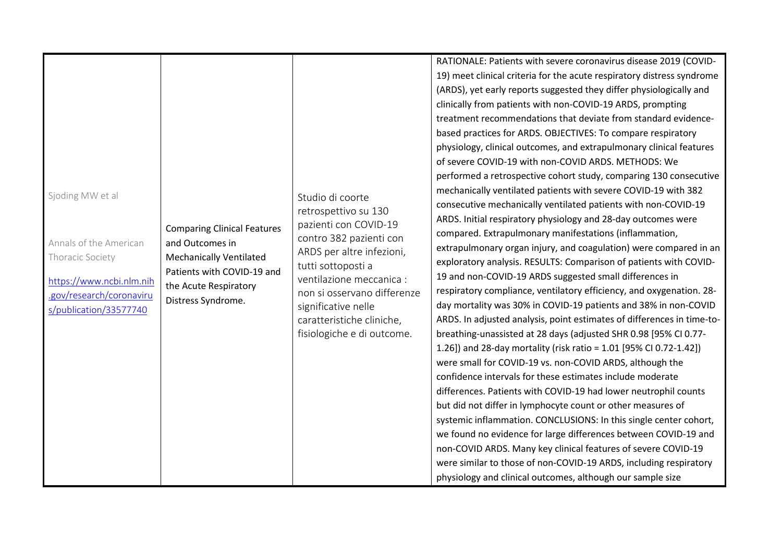|                          |                                                     |                                                         | RATIONALE: Patients with severe coronavirus disease 2019 (COVID-       |
|--------------------------|-----------------------------------------------------|---------------------------------------------------------|------------------------------------------------------------------------|
|                          |                                                     |                                                         | 19) meet clinical criteria for the acute respiratory distress syndrome |
|                          |                                                     |                                                         | (ARDS), yet early reports suggested they differ physiologically and    |
|                          |                                                     |                                                         | clinically from patients with non-COVID-19 ARDS, prompting             |
|                          |                                                     |                                                         | treatment recommendations that deviate from standard evidence-         |
|                          |                                                     |                                                         | based practices for ARDS. OBJECTIVES: To compare respiratory           |
|                          |                                                     |                                                         | physiology, clinical outcomes, and extrapulmonary clinical features    |
|                          |                                                     |                                                         | of severe COVID-19 with non-COVID ARDS. METHODS: We                    |
|                          |                                                     |                                                         | performed a retrospective cohort study, comparing 130 consecutive      |
| Sjoding MW et al         |                                                     | Studio di coorte                                        | mechanically ventilated patients with severe COVID-19 with 382         |
|                          |                                                     | retrospettivo su 130                                    | consecutive mechanically ventilated patients with non-COVID-19         |
|                          |                                                     | pazienti con COVID-19                                   | ARDS. Initial respiratory physiology and 28-day outcomes were          |
|                          | <b>Comparing Clinical Features</b>                  | contro 382 pazienti con                                 | compared. Extrapulmonary manifestations (inflammation,                 |
| Annals of the American   | and Outcomes in                                     | ARDS per altre infezioni,                               | extrapulmonary organ injury, and coagulation) were compared in an      |
| Thoracic Society         | <b>Mechanically Ventilated</b>                      | tutti sottoposti a                                      | exploratory analysis. RESULTS: Comparison of patients with COVID-      |
| https://www.ncbi.nlm.nih | Patients with COVID-19 and<br>the Acute Respiratory | ventilazione meccanica :<br>non si osservano differenze | 19 and non-COVID-19 ARDS suggested small differences in                |
| .gov/research/coronaviru |                                                     |                                                         | respiratory compliance, ventilatory efficiency, and oxygenation. 28-   |
| s/publication/33577740   | Distress Syndrome.                                  | significative nelle                                     | day mortality was 30% in COVID-19 patients and 38% in non-COVID        |
|                          |                                                     | caratteristiche cliniche,                               | ARDS. In adjusted analysis, point estimates of differences in time-to- |
|                          |                                                     | fisiologiche e di outcome.                              | breathing-unassisted at 28 days (adjusted SHR 0.98 [95% CI 0.77-       |
|                          |                                                     |                                                         | 1.26]) and 28-day mortality (risk ratio = 1.01 [95% CI 0.72-1.42])     |
|                          |                                                     |                                                         | were small for COVID-19 vs. non-COVID ARDS, although the               |
|                          |                                                     |                                                         | confidence intervals for these estimates include moderate              |
|                          |                                                     |                                                         | differences. Patients with COVID-19 had lower neutrophil counts        |
|                          |                                                     |                                                         | but did not differ in lymphocyte count or other measures of            |
|                          |                                                     |                                                         | systemic inflammation. CONCLUSIONS: In this single center cohort,      |
|                          |                                                     |                                                         | we found no evidence for large differences between COVID-19 and        |
|                          |                                                     |                                                         | non-COVID ARDS. Many key clinical features of severe COVID-19          |
|                          |                                                     |                                                         | were similar to those of non-COVID-19 ARDS, including respiratory      |
|                          |                                                     |                                                         | physiology and clinical outcomes, although our sample size             |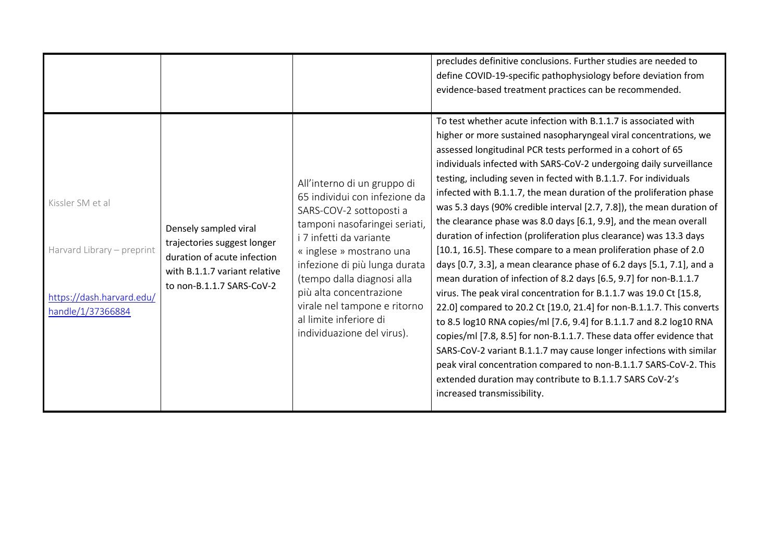|                                                                                                  |                                                                                                                                                   |                                                                                                                                                                                                                                                                                                                                                                   | precludes definitive conclusions. Further studies are needed to<br>define COVID-19-specific pathophysiology before deviation from<br>evidence-based treatment practices can be recommended.<br>To test whether acute infection with B.1.1.7 is associated with                                                                                                                                                                                                                                                                                                                                                                                                                                                                                                                                                                                                                                                                                                                                                                                                                                                                                                                                                                                                                                                              |
|--------------------------------------------------------------------------------------------------|---------------------------------------------------------------------------------------------------------------------------------------------------|-------------------------------------------------------------------------------------------------------------------------------------------------------------------------------------------------------------------------------------------------------------------------------------------------------------------------------------------------------------------|-----------------------------------------------------------------------------------------------------------------------------------------------------------------------------------------------------------------------------------------------------------------------------------------------------------------------------------------------------------------------------------------------------------------------------------------------------------------------------------------------------------------------------------------------------------------------------------------------------------------------------------------------------------------------------------------------------------------------------------------------------------------------------------------------------------------------------------------------------------------------------------------------------------------------------------------------------------------------------------------------------------------------------------------------------------------------------------------------------------------------------------------------------------------------------------------------------------------------------------------------------------------------------------------------------------------------------|
| Kissler SM et al<br>Harvard Library - preprint<br>https://dash.harvard.edu/<br>handle/1/37366884 | Densely sampled viral<br>trajectories suggest longer<br>duration of acute infection<br>with B.1.1.7 variant relative<br>to non-B.1.1.7 SARS-CoV-2 | All'interno di un gruppo di<br>65 individui con infezione da<br>SARS-COV-2 sottoposti a<br>tamponi nasofaringei seriati,<br>i 7 infetti da variante<br>« inglese » mostrano una<br>infezione di più lunga durata<br>(tempo dalla diagnosi alla<br>più alta concentrazione<br>virale nel tampone e ritorno<br>al limite inferiore di<br>individuazione del virus). | higher or more sustained nasopharyngeal viral concentrations, we<br>assessed longitudinal PCR tests performed in a cohort of 65<br>individuals infected with SARS-CoV-2 undergoing daily surveillance<br>testing, including seven in fected with B.1.1.7. For individuals<br>infected with B.1.1.7, the mean duration of the proliferation phase<br>was 5.3 days (90% credible interval [2.7, 7.8]), the mean duration of<br>the clearance phase was 8.0 days [6.1, 9.9], and the mean overall<br>duration of infection (proliferation plus clearance) was 13.3 days<br>[10.1, 16.5]. These compare to a mean proliferation phase of 2.0<br>days [0.7, 3.3], a mean clearance phase of 6.2 days [5.1, 7.1], and a<br>mean duration of infection of 8.2 days [6.5, 9.7] for non-B.1.1.7<br>virus. The peak viral concentration for B.1.1.7 was 19.0 Ct [15.8,<br>22.0] compared to 20.2 Ct [19.0, 21.4] for non-B.1.1.7. This converts<br>to 8.5 log10 RNA copies/ml [7.6, 9.4] for B.1.1.7 and 8.2 log10 RNA<br>copies/ml [7.8, 8.5] for non-B.1.1.7. These data offer evidence that<br>SARS-CoV-2 variant B.1.1.7 may cause longer infections with similar<br>peak viral concentration compared to non-B.1.1.7 SARS-CoV-2. This<br>extended duration may contribute to B.1.1.7 SARS CoV-2's<br>increased transmissibility. |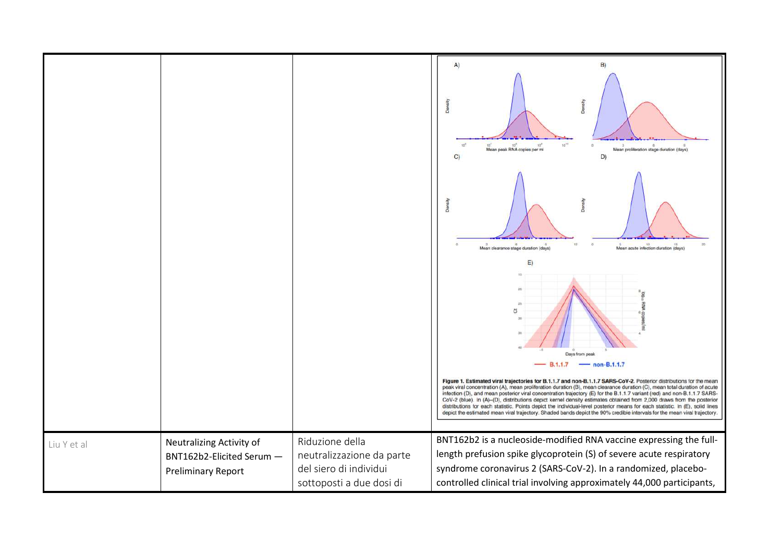|             |                                                                                    |                                                                                                    | A)<br>B)<br>Der<br>Ă<br>Mean proliferation stage duration (days)<br>Mean peak RNA copies per ml<br>D)<br>C)                                                                                                                                                                                                                                                                                                                                                                                                                                                                                                                                                                                                                                                      |
|-------------|------------------------------------------------------------------------------------|----------------------------------------------------------------------------------------------------|------------------------------------------------------------------------------------------------------------------------------------------------------------------------------------------------------------------------------------------------------------------------------------------------------------------------------------------------------------------------------------------------------------------------------------------------------------------------------------------------------------------------------------------------------------------------------------------------------------------------------------------------------------------------------------------------------------------------------------------------------------------|
|             |                                                                                    |                                                                                                    | Mean acute infection duration (days)<br>Mean clearance stage duration (days)                                                                                                                                                                                                                                                                                                                                                                                                                                                                                                                                                                                                                                                                                     |
|             |                                                                                    |                                                                                                    | E)<br>$\overline{c}$<br>Days from peak<br>$-$ non-B.1.1.7<br><b>B.1.1.7</b>                                                                                                                                                                                                                                                                                                                                                                                                                                                                                                                                                                                                                                                                                      |
|             |                                                                                    |                                                                                                    | Figure 1. Estimated viral trajectories for B.1.1.7 and non-B.1.1.7 SARS-CoV-2. Posterior distributions for the mean<br>peak viral concentration (A), mean proliferation duration (B), mean clearance duration (C), mean total duration of acute<br>infection (D), and mean posterior viral concentration trajectory (E) for the B.1.1.7 variant (red) and non-B.1.1.7 SARS-<br>CoV-2 (blue). In (A)-(D), distributions depict kernel density estimates obtained from 2,000 draws from the posterior<br>distributions for each statistic. Points depict the individual-level posterior means for each statistic. In (E), solid lines<br>depict the estimated mean viral trajectory. Shaded bands depict the 90% credible intervals for the mean viral trajectory. |
| Liu Y et al | Neutralizing Activity of<br>BNT162b2-Elicited Serum -<br><b>Preliminary Report</b> | Riduzione della<br>neutralizzazione da parte<br>del siero di individui<br>sottoposti a due dosi di | BNT162b2 is a nucleoside-modified RNA vaccine expressing the full-<br>length prefusion spike glycoprotein (S) of severe acute respiratory<br>syndrome coronavirus 2 (SARS-CoV-2). In a randomized, placebo-<br>controlled clinical trial involving approximately 44,000 participants,                                                                                                                                                                                                                                                                                                                                                                                                                                                                            |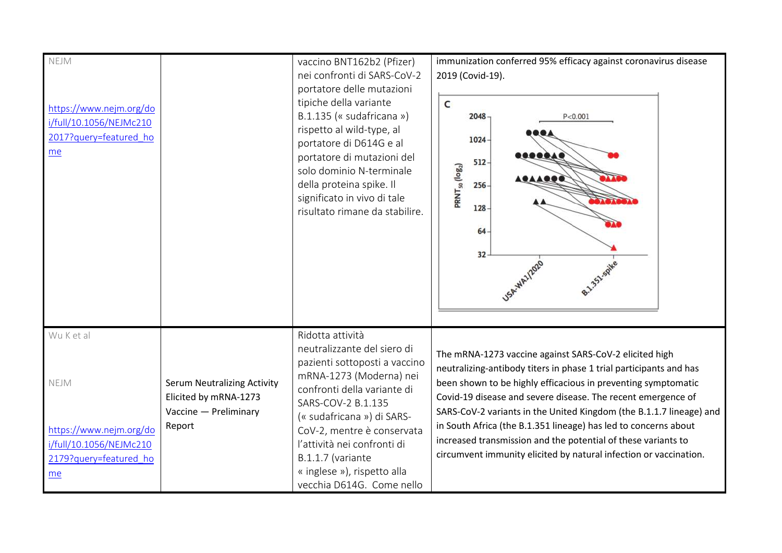| NEJM<br>https://www.nejm.org/do<br>i/full/10.1056/NEJMc210<br>2017?query=featured_ho<br>me               |                                                                                                | vaccino BNT162b2 (Pfizer)<br>nei confronti di SARS-CoV-2<br>portatore delle mutazioni<br>tipiche della variante<br>B.1.135 (« sudafricana »)<br>rispetto al wild-type, al<br>portatore di D614G e al<br>portatore di mutazioni del<br>solo dominio N-terminale<br>della proteina spike. Il<br>significato in vivo di tale<br>risultato rimane da stabilire. | immunization conferred 95% efficacy against coronavirus disease<br>2019 (Covid-19).<br>c<br>$2048 -$<br>P < 0.001<br>$1024 -$<br>$512 -$<br>PRNT <sub>50</sub> (log <sub>2</sub> )<br>$256 -$<br>$128 -$<br>$64-$<br>$32 -$                                                                                                                                                                                                                                                                                                                   |
|----------------------------------------------------------------------------------------------------------|------------------------------------------------------------------------------------------------|-------------------------------------------------------------------------------------------------------------------------------------------------------------------------------------------------------------------------------------------------------------------------------------------------------------------------------------------------------------|-----------------------------------------------------------------------------------------------------------------------------------------------------------------------------------------------------------------------------------------------------------------------------------------------------------------------------------------------------------------------------------------------------------------------------------------------------------------------------------------------------------------------------------------------|
| Wu K et al<br>NEJM<br>https://www.nejm.org/do<br>i/full/10.1056/NEJMc210<br>2179?query=featured ho<br>me | <b>Serum Neutralizing Activity</b><br>Elicited by mRNA-1273<br>Vaccine - Preliminary<br>Report | Ridotta attività<br>neutralizzante del siero di<br>pazienti sottoposti a vaccino<br>mRNA-1273 (Moderna) nei<br>confronti della variante di<br>SARS-COV-2 B.1.135<br>(« sudafricana ») di SARS-<br>CoV-2, mentre è conservata<br>l'attività nei confronti di<br>B.1.1.7 (variante<br>« inglese »), rispetto alla<br>vecchia D614G. Come nello                | The mRNA-1273 vaccine against SARS-CoV-2 elicited high<br>neutralizing-antibody titers in phase 1 trial participants and has<br>been shown to be highly efficacious in preventing symptomatic<br>Covid-19 disease and severe disease. The recent emergence of<br>SARS-CoV-2 variants in the United Kingdom (the B.1.1.7 lineage) and<br>in South Africa (the B.1.351 lineage) has led to concerns about<br>increased transmission and the potential of these variants to<br>circumvent immunity elicited by natural infection or vaccination. |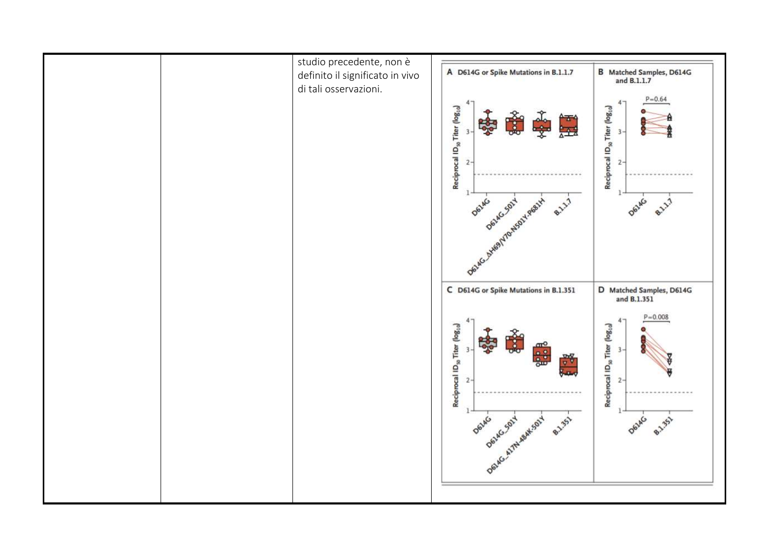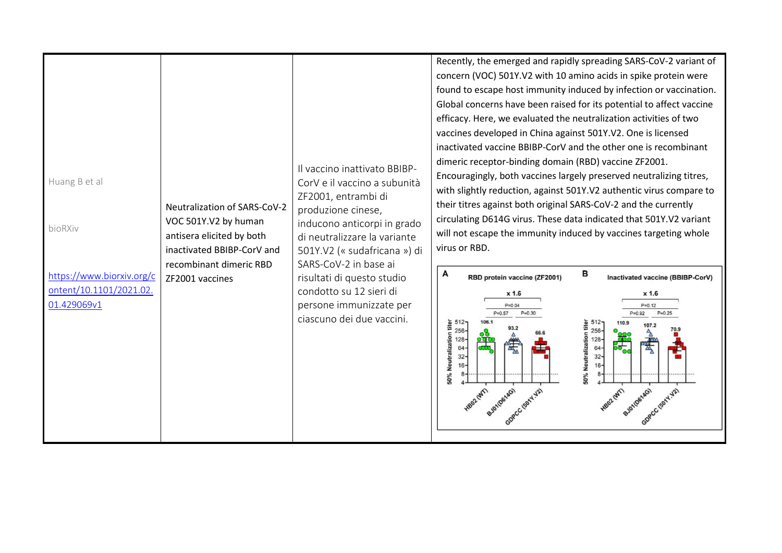| Huang B et al<br>bioRXiv<br>https://www.biorxiv.org/c<br>ontent/10.1101/2021.02.<br>01.429069v1 | <b>Neutralization of SARS-CoV-2</b><br>VOC 501Y.V2 by human<br>antisera elicited by both<br>inactivated BBIBP-CorV and<br>recombinant dimeric RBD<br>ZF2001 vaccines | Il vaccino inattivato BBIBP-<br>CorV e il vaccino a subunità<br>ZF2001, entrambi di<br>produzione cinese,<br>inducono anticorpi in grado<br>di neutralizzare la variante<br>501Y.V2 (« sudafricana ») di<br>SARS-CoV-2 in base ai<br>risultati di questo studio<br>condotto su 12 sieri di<br>persone immunizzate per<br>ciascuno dei due vaccini. | Recently, the emerged and rapidly spreading SARS-CoV-2 variant of<br>concern (VOC) 501Y.V2 with 10 amino acids in spike protein were<br>found to escape host immunity induced by infection or vaccination.<br>Global concerns have been raised for its potential to affect vaccine<br>efficacy. Here, we evaluated the neutralization activities of two<br>vaccines developed in China against 501Y.V2. One is licensed<br>inactivated vaccine BBIBP-CorV and the other one is recombinant<br>dimeric receptor-binding domain (RBD) vaccine ZF2001.<br>Encouragingly, both vaccines largely preserved neutralizing titres,<br>with slightly reduction, against 501Y.V2 authentic virus compare to<br>their titres against both original SARS-CoV-2 and the currently<br>circulating D614G virus. These data indicated that 501Y.V2 variant<br>will not escape the immunity induced by vaccines targeting whole<br>virus or RBD.<br>в<br>A<br>RBD protein vaccine (ZF2001)<br>Inactivated vaccine (BBIBP-CorV)<br>x 1.6<br>x 1.6<br>$P = 0.04$<br>$P = 0.12$<br>$P = 0.25$<br>$P = 0.30$<br>$P = 0.92$<br>$P = 0.57$<br>512<br>titer<br>93.2<br>$256 -$<br>70.9<br>$256 -$<br>50% Neutralization<br>Neutralizatio<br>$128 -$<br>$128 -$<br>$\frac{\partial \mathbf{q}}{\partial \mathbf{b}}$<br>绿<br>64<br>64<br>$32 -$<br>$32 -$<br>$16-$<br><b>2605</b><br>BJ010614G)<br>902 (WT)<br>BJ010614G)<br>245<br>acc teary val<br>GDPCC (501Y-12) |
|-------------------------------------------------------------------------------------------------|----------------------------------------------------------------------------------------------------------------------------------------------------------------------|----------------------------------------------------------------------------------------------------------------------------------------------------------------------------------------------------------------------------------------------------------------------------------------------------------------------------------------------------|---------------------------------------------------------------------------------------------------------------------------------------------------------------------------------------------------------------------------------------------------------------------------------------------------------------------------------------------------------------------------------------------------------------------------------------------------------------------------------------------------------------------------------------------------------------------------------------------------------------------------------------------------------------------------------------------------------------------------------------------------------------------------------------------------------------------------------------------------------------------------------------------------------------------------------------------------------------------------------------------------------------------------------------------------------------------------------------------------------------------------------------------------------------------------------------------------------------------------------------------------------------------------------------------------------------------------------------------------------------------------------------------------------------------------------------------|
|-------------------------------------------------------------------------------------------------|----------------------------------------------------------------------------------------------------------------------------------------------------------------------|----------------------------------------------------------------------------------------------------------------------------------------------------------------------------------------------------------------------------------------------------------------------------------------------------------------------------------------------------|---------------------------------------------------------------------------------------------------------------------------------------------------------------------------------------------------------------------------------------------------------------------------------------------------------------------------------------------------------------------------------------------------------------------------------------------------------------------------------------------------------------------------------------------------------------------------------------------------------------------------------------------------------------------------------------------------------------------------------------------------------------------------------------------------------------------------------------------------------------------------------------------------------------------------------------------------------------------------------------------------------------------------------------------------------------------------------------------------------------------------------------------------------------------------------------------------------------------------------------------------------------------------------------------------------------------------------------------------------------------------------------------------------------------------------------------|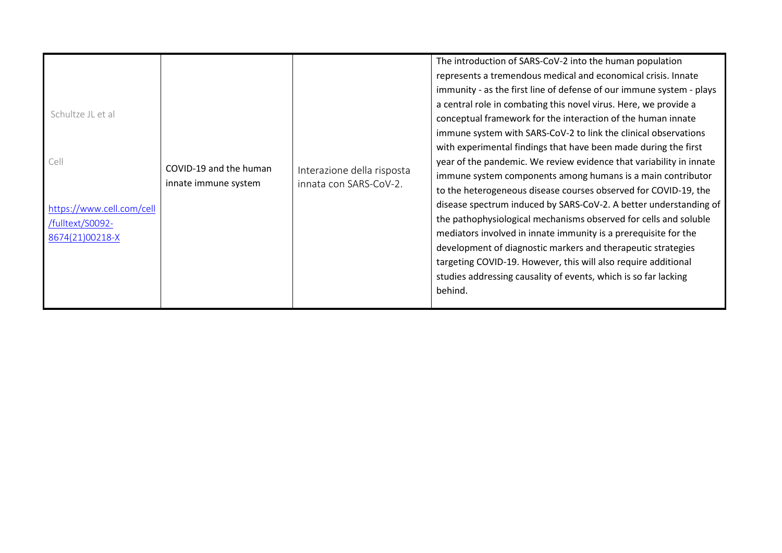| Schultze JL et al<br>Cell<br>https://www.cell.com/cell<br>/fulltext/S0092-<br>8674(21)00218-X | COVID-19 and the human<br>innate immune system | Interazione della risposta<br>innata con SARS-CoV-2. | The introduction of SARS-CoV-2 into the human population<br>represents a tremendous medical and economical crisis. Innate<br>immunity - as the first line of defense of our immune system - plays<br>a central role in combating this novel virus. Here, we provide a<br>conceptual framework for the interaction of the human innate<br>immune system with SARS-CoV-2 to link the clinical observations<br>with experimental findings that have been made during the first<br>year of the pandemic. We review evidence that variability in innate<br>immune system components among humans is a main contributor<br>to the heterogeneous disease courses observed for COVID-19, the<br>disease spectrum induced by SARS-CoV-2. A better understanding of<br>the pathophysiological mechanisms observed for cells and soluble<br>mediators involved in innate immunity is a prerequisite for the<br>development of diagnostic markers and therapeutic strategies<br>targeting COVID-19. However, this will also require additional<br>studies addressing causality of events, which is so far lacking<br>behind. |
|-----------------------------------------------------------------------------------------------|------------------------------------------------|------------------------------------------------------|------------------------------------------------------------------------------------------------------------------------------------------------------------------------------------------------------------------------------------------------------------------------------------------------------------------------------------------------------------------------------------------------------------------------------------------------------------------------------------------------------------------------------------------------------------------------------------------------------------------------------------------------------------------------------------------------------------------------------------------------------------------------------------------------------------------------------------------------------------------------------------------------------------------------------------------------------------------------------------------------------------------------------------------------------------------------------------------------------------------|
|-----------------------------------------------------------------------------------------------|------------------------------------------------|------------------------------------------------------|------------------------------------------------------------------------------------------------------------------------------------------------------------------------------------------------------------------------------------------------------------------------------------------------------------------------------------------------------------------------------------------------------------------------------------------------------------------------------------------------------------------------------------------------------------------------------------------------------------------------------------------------------------------------------------------------------------------------------------------------------------------------------------------------------------------------------------------------------------------------------------------------------------------------------------------------------------------------------------------------------------------------------------------------------------------------------------------------------------------|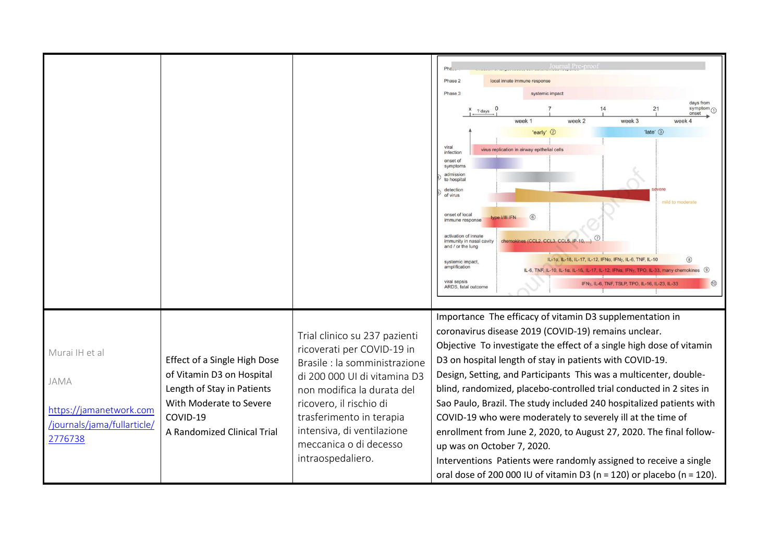|                                                                                             |                                                                                                                                                                      |                                                                                                                                                                                                                                                                                                | Pha.<br>Phase 2<br>local innate immune response<br>Phase 3<br>systemic impac<br>days from<br>symptom $\textcircled{1}$<br>21<br>? days<br>onset<br>week 1<br>week 2<br>week 3<br>week 4<br>'early' 2<br>'late' 3<br>viral<br>virus replication in airway epithelial cells<br>infection<br>onset of<br>symptoms<br>admissior<br>to hospital<br>detection<br>of virus<br>mild to moderate<br>onset of local<br>$6$<br>type I/III IFN<br>immune response<br>activation of innate<br>immunity in nasal cavity<br>chemokines (CCL2, CCL3, CCL5, IP-10, )<br>and / or the lung<br>IL-1a, IL-1ß, IL-17, IL-12, IFNa, IFNy, IL-6, TNF, IL-10<br>(8)<br>systemic impact<br>amplification<br>IL-6, TNF, IL-10, IL-1a, IL-1ß, IL-17, IL-12, IFNa, IFNy, TPO, IL-33, many chemokines<br>viral sepsis<br>(10)<br>IFNy, IL-6, TNF, TSLP, TPO, IL-16, IL-23, IL-33<br>ARDS, fatal outcome |
|---------------------------------------------------------------------------------------------|----------------------------------------------------------------------------------------------------------------------------------------------------------------------|------------------------------------------------------------------------------------------------------------------------------------------------------------------------------------------------------------------------------------------------------------------------------------------------|----------------------------------------------------------------------------------------------------------------------------------------------------------------------------------------------------------------------------------------------------------------------------------------------------------------------------------------------------------------------------------------------------------------------------------------------------------------------------------------------------------------------------------------------------------------------------------------------------------------------------------------------------------------------------------------------------------------------------------------------------------------------------------------------------------------------------------------------------------------------------|
| Murai IH et al<br>JAMA<br>https://jamanetwork.com<br>/journals/jama/fullarticle/<br>2776738 | <b>Effect of a Single High Dose</b><br>of Vitamin D3 on Hospital<br>Length of Stay in Patients<br>With Moderate to Severe<br>COVID-19<br>A Randomized Clinical Trial | Trial clinico su 237 pazienti<br>ricoverati per COVID-19 in<br>Brasile : la somministrazione<br>di 200 000 UI di vitamina D3<br>non modifica la durata del<br>ricovero, il rischio di<br>trasferimento in terapia<br>intensiva, di ventilazione<br>meccanica o di decesso<br>intraospedaliero. | Importance The efficacy of vitamin D3 supplementation in<br>coronavirus disease 2019 (COVID-19) remains unclear.<br>Objective To investigate the effect of a single high dose of vitamin<br>D3 on hospital length of stay in patients with COVID-19.<br>Design, Setting, and Participants This was a multicenter, double-<br>blind, randomized, placebo-controlled trial conducted in 2 sites in<br>Sao Paulo, Brazil. The study included 240 hospitalized patients with<br>COVID-19 who were moderately to severely ill at the time of<br>enrollment from June 2, 2020, to August 27, 2020. The final follow-<br>up was on October 7, 2020.<br>Interventions Patients were randomly assigned to receive a single<br>oral dose of 200 000 IU of vitamin D3 (n = 120) or placebo (n = 120).                                                                                 |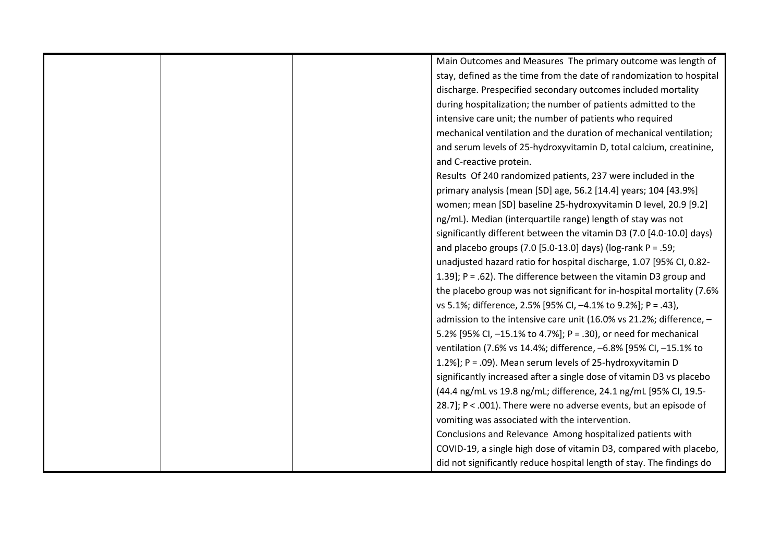|  | Main Outcomes and Measures The primary outcome was length of          |
|--|-----------------------------------------------------------------------|
|  | stay, defined as the time from the date of randomization to hospital  |
|  | discharge. Prespecified secondary outcomes included mortality         |
|  | during hospitalization; the number of patients admitted to the        |
|  | intensive care unit; the number of patients who required              |
|  | mechanical ventilation and the duration of mechanical ventilation;    |
|  | and serum levels of 25-hydroxyvitamin D, total calcium, creatinine,   |
|  | and C-reactive protein.                                               |
|  | Results Of 240 randomized patients, 237 were included in the          |
|  | primary analysis (mean [SD] age, 56.2 [14.4] years; 104 [43.9%]       |
|  | women; mean [SD] baseline 25-hydroxyvitamin D level, 20.9 [9.2]       |
|  | ng/mL). Median (interquartile range) length of stay was not           |
|  | significantly different between the vitamin D3 (7.0 [4.0-10.0] days)  |
|  | and placebo groups (7.0 [5.0-13.0] days) (log-rank $P = .59$ ;        |
|  | unadjusted hazard ratio for hospital discharge, 1.07 [95% CI, 0.82-   |
|  | 1.39]; $P = .62$ ). The difference between the vitamin D3 group and   |
|  | the placebo group was not significant for in-hospital mortality (7.6% |
|  | vs 5.1%; difference, 2.5% [95% CI, -4.1% to 9.2%]; P = .43),          |
|  | admission to the intensive care unit (16.0% vs 21.2%; difference, -   |
|  | 5.2% [95% CI, -15.1% to 4.7%]; P = .30), or need for mechanical       |
|  | ventilation (7.6% vs 14.4%; difference, -6.8% [95% CI, -15.1% to      |
|  | 1.2%]; P = .09). Mean serum levels of 25-hydroxyvitamin D             |
|  | significantly increased after a single dose of vitamin D3 vs placebo  |
|  | (44.4 ng/mL vs 19.8 ng/mL; difference, 24.1 ng/mL [95% CI, 19.5-      |
|  | 28.7]; P < .001). There were no adverse events, but an episode of     |
|  | vomiting was associated with the intervention.                        |
|  | Conclusions and Relevance Among hospitalized patients with            |
|  | COVID-19, a single high dose of vitamin D3, compared with placebo,    |
|  | did not significantly reduce hospital length of stay. The findings do |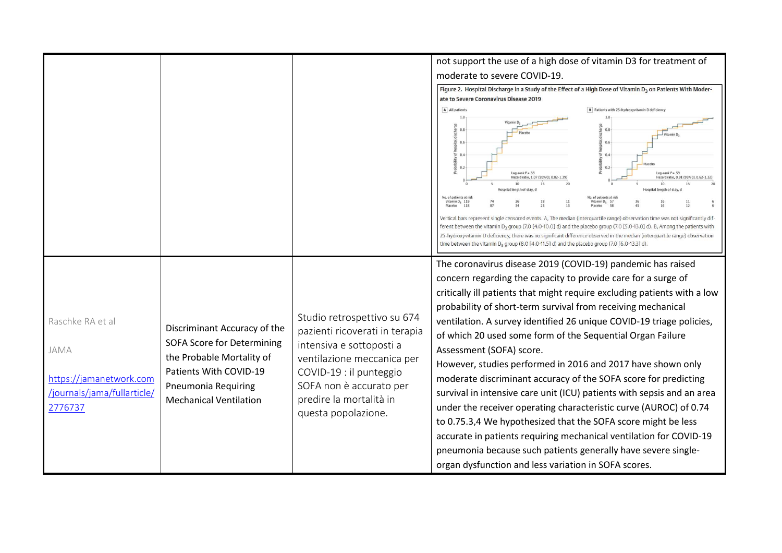|                                        |                                   |                                                                                          | not support the use of a high dose of vitamin D3 for treatment of                                                                                                                                                                                                                                                                                                                                                                                                                                               |
|----------------------------------------|-----------------------------------|------------------------------------------------------------------------------------------|-----------------------------------------------------------------------------------------------------------------------------------------------------------------------------------------------------------------------------------------------------------------------------------------------------------------------------------------------------------------------------------------------------------------------------------------------------------------------------------------------------------------|
|                                        |                                   |                                                                                          | moderate to severe COVID-19.                                                                                                                                                                                                                                                                                                                                                                                                                                                                                    |
|                                        |                                   |                                                                                          | Figure 2. Hospital Discharge in a Study of the Effect of a High Dose of Vitamin D <sub>3</sub> on Patients With Moder-<br>ate to Severe Coronavirus Disease 2019                                                                                                                                                                                                                                                                                                                                                |
|                                        |                                   |                                                                                          | A All patients<br>B Patients with 25-hydroxyvitamin D deficiency                                                                                                                                                                                                                                                                                                                                                                                                                                                |
|                                        |                                   |                                                                                          | 0.8<br>Vitam<br>0.6<br>0.6<br>0.4<br>0.4<br>0.2<br>0.2<br>Log-rank $P = .59$<br>Log-rank $P = .59$<br>Hazard ratio, 1.07 (95% CI, 0.82-1.39)<br>Hazard ratio, 0.91 (95% CI, 0.62-1.32)<br>10<br>nath of st<br>length of stay                                                                                                                                                                                                                                                                                    |
|                                        |                                   |                                                                                          | No. of patients at risk<br>o, of patients at ris<br>Vitamin $D_3$ 119<br>Vitamin D <sub>2</sub> 57<br>Placebo                                                                                                                                                                                                                                                                                                                                                                                                   |
|                                        |                                   |                                                                                          | Vertical bars represent single censored events. A, The median (interquartile range) observation time was not significantly dif-<br>ferent between the vitamin D <sub>3</sub> group (7.0 [4.0-10.0] d) and the placebo group (7.0 [5.0-13.0] d). B, Among the patients with<br>25-hydroxyvitamin D deficiency, there was no significant difference observed in the median (interquartile range) observation<br>time between the vitamin $D_3$ group (8.0 [4.0-11.5] d) and the placebo group (7.0 [6.0-13.3] d). |
|                                        |                                   |                                                                                          | The coronavirus disease 2019 (COVID-19) pandemic has raised                                                                                                                                                                                                                                                                                                                                                                                                                                                     |
|                                        |                                   |                                                                                          | concern regarding the capacity to provide care for a surge of                                                                                                                                                                                                                                                                                                                                                                                                                                                   |
|                                        |                                   |                                                                                          | critically ill patients that might require excluding patients with a low                                                                                                                                                                                                                                                                                                                                                                                                                                        |
|                                        |                                   |                                                                                          | probability of short-term survival from receiving mechanical                                                                                                                                                                                                                                                                                                                                                                                                                                                    |
| Raschke RA et al                       | Discriminant Accuracy of the      | Studio retrospettivo su 674                                                              | ventilation. A survey identified 26 unique COVID-19 triage policies,                                                                                                                                                                                                                                                                                                                                                                                                                                            |
|                                        | <b>SOFA Score for Determining</b> | pazienti ricoverati in terapia<br>intensiva e sottoposti a<br>ventilazione meccanica per | of which 20 used some form of the Sequential Organ Failure                                                                                                                                                                                                                                                                                                                                                                                                                                                      |
| JAMA                                   | the Probable Mortality of         |                                                                                          | Assessment (SOFA) score.                                                                                                                                                                                                                                                                                                                                                                                                                                                                                        |
|                                        | Patients With COVID-19            | COVID-19 : il punteggio                                                                  | However, studies performed in 2016 and 2017 have shown only                                                                                                                                                                                                                                                                                                                                                                                                                                                     |
| https://jamanetwork.com                | <b>Pneumonia Requiring</b>        | SOFA non è accurato per                                                                  | moderate discriminant accuracy of the SOFA score for predicting                                                                                                                                                                                                                                                                                                                                                                                                                                                 |
| /journals/jama/fullarticle/<br>2776737 | <b>Mechanical Ventilation</b>     | predire la mortalità in                                                                  | survival in intensive care unit (ICU) patients with sepsis and an area                                                                                                                                                                                                                                                                                                                                                                                                                                          |
|                                        |                                   | questa popolazione.                                                                      | under the receiver operating characteristic curve (AUROC) of 0.74                                                                                                                                                                                                                                                                                                                                                                                                                                               |
|                                        |                                   |                                                                                          | to 0.75.3,4 We hypothesized that the SOFA score might be less                                                                                                                                                                                                                                                                                                                                                                                                                                                   |
|                                        |                                   |                                                                                          | accurate in patients requiring mechanical ventilation for COVID-19<br>pneumonia because such patients generally have severe single-                                                                                                                                                                                                                                                                                                                                                                             |
|                                        |                                   |                                                                                          |                                                                                                                                                                                                                                                                                                                                                                                                                                                                                                                 |
|                                        |                                   |                                                                                          | organ dysfunction and less variation in SOFA scores.                                                                                                                                                                                                                                                                                                                                                                                                                                                            |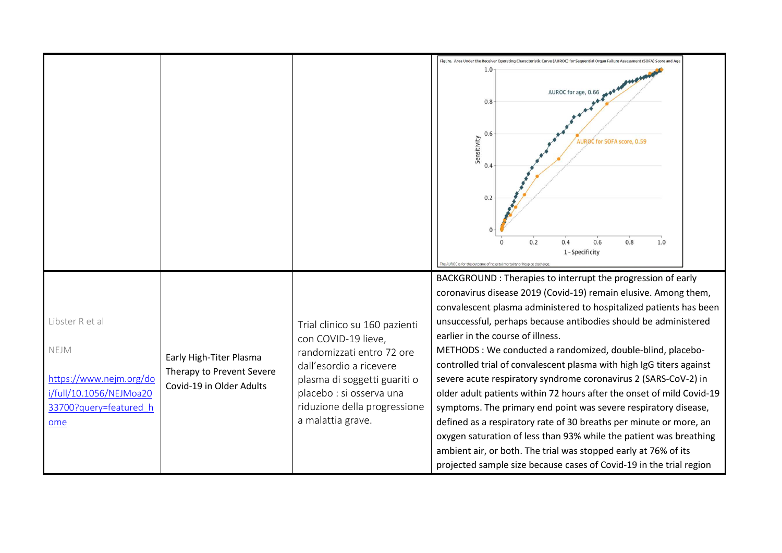|                                                                                                                |                                                                                  |                                                                                                                                                                                                                               | Figure. Area Under the Receiver Operating Characteristic Curve (AUROC) for Sequential Organ Failure Assessment (SOFA) Score and Age                                                                                                                                                                                                                                                                                                                                                                                                                                                                                                                                                                                                                                                                                                                                                                                                                     |
|----------------------------------------------------------------------------------------------------------------|----------------------------------------------------------------------------------|-------------------------------------------------------------------------------------------------------------------------------------------------------------------------------------------------------------------------------|---------------------------------------------------------------------------------------------------------------------------------------------------------------------------------------------------------------------------------------------------------------------------------------------------------------------------------------------------------------------------------------------------------------------------------------------------------------------------------------------------------------------------------------------------------------------------------------------------------------------------------------------------------------------------------------------------------------------------------------------------------------------------------------------------------------------------------------------------------------------------------------------------------------------------------------------------------|
|                                                                                                                |                                                                                  |                                                                                                                                                                                                                               | AUROC for age, 0.66<br>0.8<br>0.6<br>Sensitivity<br><b>AUROC for SOFA score, 0.59</b><br>0.4<br>0.2<br>0.4<br>0.6<br>0.8<br>0.2<br>1.0<br>1-Specificity                                                                                                                                                                                                                                                                                                                                                                                                                                                                                                                                                                                                                                                                                                                                                                                                 |
| Libster R et al<br>NEJM<br>https://www.nejm.org/do<br>i/full/10.1056/NEJMoa20<br>33700?query=featured h<br>ome | Early High-Titer Plasma<br>Therapy to Prevent Severe<br>Covid-19 in Older Adults | Trial clinico su 160 pazienti<br>con COVID-19 lieve,<br>randomizzati entro 72 ore<br>dall'esordio a ricevere<br>plasma di soggetti guariti o<br>placebo : si osserva una<br>riduzione della progressione<br>a malattia grave. | BACKGROUND: Therapies to interrupt the progression of early<br>coronavirus disease 2019 (Covid-19) remain elusive. Among them,<br>convalescent plasma administered to hospitalized patients has been<br>unsuccessful, perhaps because antibodies should be administered<br>earlier in the course of illness.<br>METHODS: We conducted a randomized, double-blind, placebo-<br>controlled trial of convalescent plasma with high IgG titers against<br>severe acute respiratory syndrome coronavirus 2 (SARS-CoV-2) in<br>older adult patients within 72 hours after the onset of mild Covid-19<br>symptoms. The primary end point was severe respiratory disease,<br>defined as a respiratory rate of 30 breaths per minute or more, an<br>oxygen saturation of less than 93% while the patient was breathing<br>ambient air, or both. The trial was stopped early at 76% of its<br>projected sample size because cases of Covid-19 in the trial region |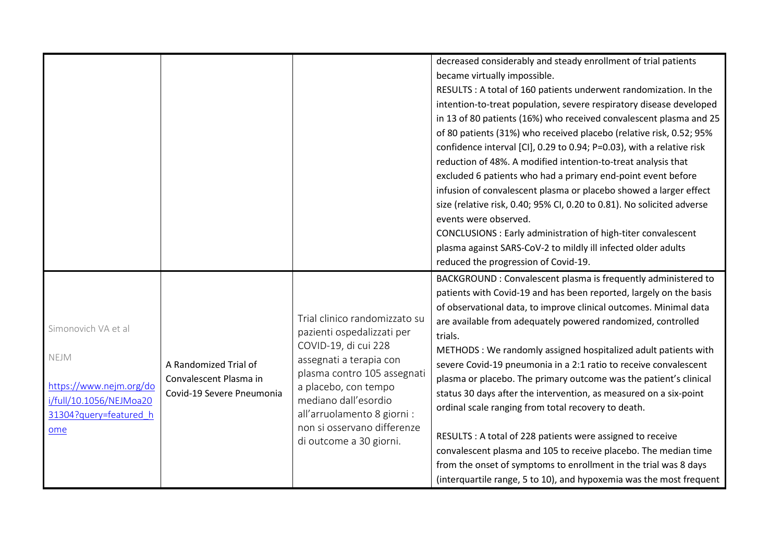|                         |                           |                                                            | decreased considerably and steady enrollment of trial patients         |
|-------------------------|---------------------------|------------------------------------------------------------|------------------------------------------------------------------------|
|                         |                           |                                                            | became virtually impossible.                                           |
|                         |                           |                                                            | RESULTS : A total of 160 patients underwent randomization. In the      |
|                         |                           |                                                            | intention-to-treat population, severe respiratory disease developed    |
|                         |                           |                                                            | in 13 of 80 patients (16%) who received convalescent plasma and 25     |
|                         |                           |                                                            | of 80 patients (31%) who received placebo (relative risk, 0.52; 95%    |
|                         |                           |                                                            | confidence interval [CI], 0.29 to 0.94; P=0.03), with a relative risk  |
|                         |                           |                                                            | reduction of 48%. A modified intention-to-treat analysis that          |
|                         |                           |                                                            | excluded 6 patients who had a primary end-point event before           |
|                         |                           |                                                            | infusion of convalescent plasma or placebo showed a larger effect      |
|                         |                           |                                                            | size (relative risk, 0.40; 95% CI, 0.20 to 0.81). No solicited adverse |
|                         |                           |                                                            | events were observed.                                                  |
|                         |                           |                                                            | CONCLUSIONS : Early administration of high-titer convalescent          |
|                         |                           |                                                            | plasma against SARS-CoV-2 to mildly ill infected older adults          |
|                         |                           |                                                            | reduced the progression of Covid-19.                                   |
|                         |                           |                                                            | BACKGROUND: Convalescent plasma is frequently administered to          |
|                         |                           |                                                            | patients with Covid-19 and has been reported, largely on the basis     |
|                         |                           |                                                            | of observational data, to improve clinical outcomes. Minimal data      |
|                         |                           | Trial clinico randomizzato su                              | are available from adequately powered randomized, controlled           |
| Simonovich VA et al     |                           | pazienti ospedalizzati per                                 | trials.                                                                |
|                         |                           | COVID-19, di cui 228                                       | METHODS: We randomly assigned hospitalized adult patients with         |
| NEJM                    | A Randomized Trial of     | assegnati a terapia con                                    | severe Covid-19 pneumonia in a 2:1 ratio to receive convalescent       |
|                         | Convalescent Plasma in    | plasma contro 105 assegnati                                | plasma or placebo. The primary outcome was the patient's clinical      |
| https://www.nejm.org/do | Covid-19 Severe Pneumonia | a placebo, con tempo                                       | status 30 days after the intervention, as measured on a six-point      |
| i/full/10.1056/NEJMoa20 |                           | mediano dall'esordio                                       | ordinal scale ranging from total recovery to death.                    |
| 31304?query=featured_h  |                           | all'arruolamento 8 giorni :<br>non si osservano differenze |                                                                        |
| ome                     |                           |                                                            | RESULTS : A total of 228 patients were assigned to receive             |
|                         |                           | di outcome a 30 giorni.                                    | convalescent plasma and 105 to receive placebo. The median time        |
|                         |                           |                                                            | from the onset of symptoms to enrollment in the trial was 8 days       |
|                         |                           |                                                            | (interquartile range, 5 to 10), and hypoxemia was the most frequent    |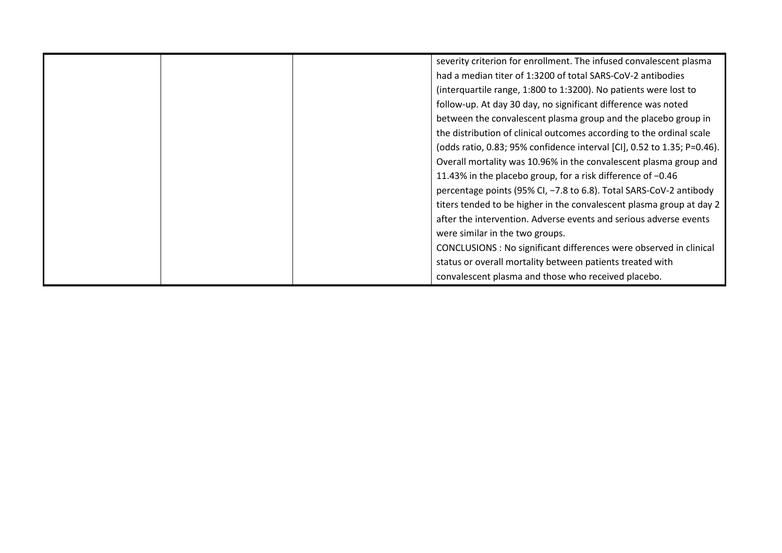|  | severity criterion for enrollment. The infused convalescent plasma      |
|--|-------------------------------------------------------------------------|
|  | had a median titer of 1:3200 of total SARS-CoV-2 antibodies             |
|  | (interquartile range, 1:800 to 1:3200). No patients were lost to        |
|  | follow-up. At day 30 day, no significant difference was noted           |
|  | between the convalescent plasma group and the placebo group in          |
|  | the distribution of clinical outcomes according to the ordinal scale    |
|  | (odds ratio, 0.83; 95% confidence interval [CI], 0.52 to 1.35; P=0.46). |
|  | Overall mortality was 10.96% in the convalescent plasma group and       |
|  | 11.43% in the placebo group, for a risk difference of -0.46             |
|  | percentage points (95% CI, -7.8 to 6.8). Total SARS-CoV-2 antibody      |
|  | titers tended to be higher in the convalescent plasma group at day 2    |
|  | after the intervention. Adverse events and serious adverse events       |
|  | were similar in the two groups.                                         |
|  | CONCLUSIONS : No significant differences were observed in clinical      |
|  | status or overall mortality between patients treated with               |
|  | convalescent plasma and those who received placebo.                     |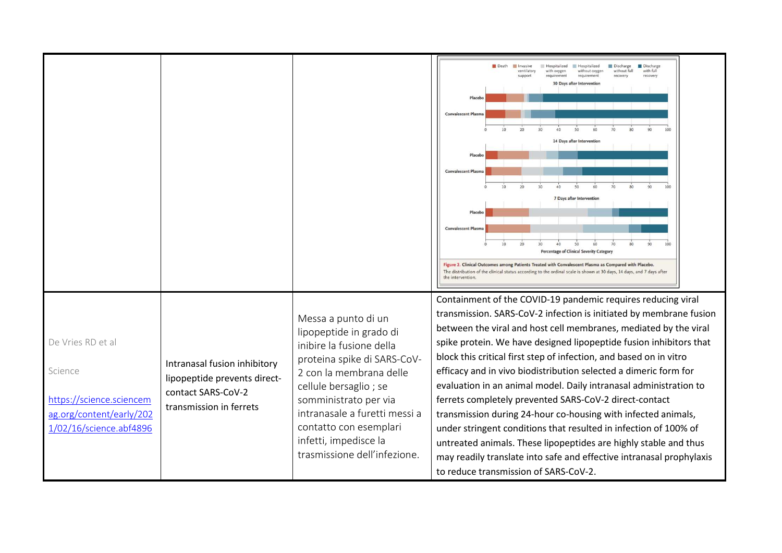|                                                                                                                 |                                                                                                               |                                                                                                                                                                                                                                                                                                            | Death<br>Hospitalized<br><b>Discharge</b><br>Discharge<br><b>Invasive</b><br>Hospitalized<br>ventilaton<br>with oxygen<br>without oxygen<br>without full<br>with full<br>requirement<br>support<br>recover<br>recovery<br><b>30 Days after Intervention</b><br>Placeb<br><b>Convalescent Plasm</b><br>14 Days after Interventie<br><b>Convalescent Plasm</b>                                                                                                                                                                                                                                                                                                                                                                                                                                                                                                                    |
|-----------------------------------------------------------------------------------------------------------------|---------------------------------------------------------------------------------------------------------------|------------------------------------------------------------------------------------------------------------------------------------------------------------------------------------------------------------------------------------------------------------------------------------------------------------|---------------------------------------------------------------------------------------------------------------------------------------------------------------------------------------------------------------------------------------------------------------------------------------------------------------------------------------------------------------------------------------------------------------------------------------------------------------------------------------------------------------------------------------------------------------------------------------------------------------------------------------------------------------------------------------------------------------------------------------------------------------------------------------------------------------------------------------------------------------------------------|
|                                                                                                                 |                                                                                                               |                                                                                                                                                                                                                                                                                                            | 7 Days after Interventio<br><b>Convalescent Plasma</b><br>Percentage of Clinical Severity Catego<br>Figure 2. Clinical Outcomes among Patients Treated with Convalescent Plasma as Compared with Placebo.<br>The distribution of the clinical status according to the ordinal scale is shown at 30 days, 14 days, and 7 days after<br>the intervention.                                                                                                                                                                                                                                                                                                                                                                                                                                                                                                                         |
| De Vries RD et al<br>Science<br>https://science.sciencem<br>ag.org/content/early/202<br>1/02/16/science.abf4896 | Intranasal fusion inhibitory<br>lipopeptide prevents direct-<br>contact SARS-CoV-2<br>transmission in ferrets | Messa a punto di un<br>lipopeptide in grado di<br>inibire la fusione della<br>proteina spike di SARS-CoV-<br>2 con la membrana delle<br>cellule bersaglio; se<br>somministrato per via<br>intranasale a furetti messi a<br>contatto con esemplari<br>infetti, impedisce la<br>trasmissione dell'infezione. | Containment of the COVID-19 pandemic requires reducing viral<br>transmission. SARS-CoV-2 infection is initiated by membrane fusion<br>between the viral and host cell membranes, mediated by the viral<br>spike protein. We have designed lipopeptide fusion inhibitors that<br>block this critical first step of infection, and based on in vitro<br>efficacy and in vivo biodistribution selected a dimeric form for<br>evaluation in an animal model. Daily intranasal administration to<br>ferrets completely prevented SARS-CoV-2 direct-contact<br>transmission during 24-hour co-housing with infected animals,<br>under stringent conditions that resulted in infection of 100% of<br>untreated animals. These lipopeptides are highly stable and thus<br>may readily translate into safe and effective intranasal prophylaxis<br>to reduce transmission of SARS-CoV-2. |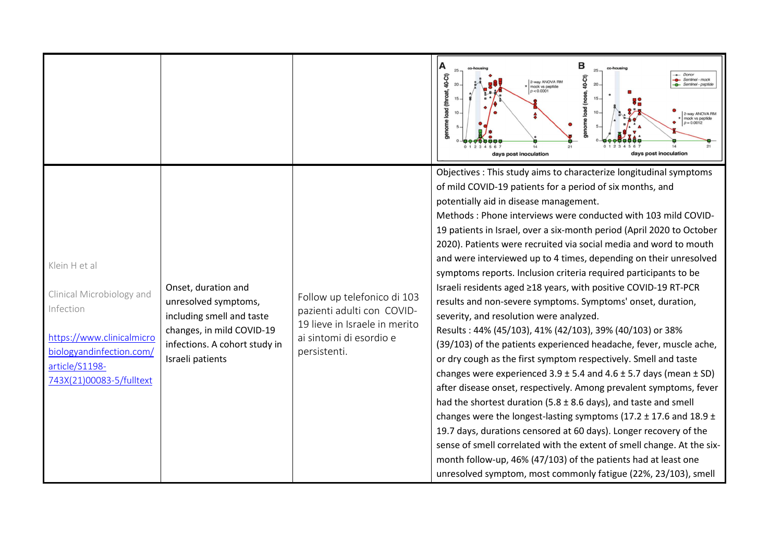|                                                                                                                                                                |                                                                                                                                                            |                                                                                                                                       | в<br>25<br>40-Ct)<br>$ -$ Donor<br>40-Ct)<br>Sentinel - mock<br>2-way ANOVA RM<br>20<br>mock vs peptide<br>enome load (throat,<br>p < 0.0001<br>load (nose,<br>2-way ANOVA RM<br>mock vs peptide<br>$p = 0.0012$<br>lome<br>days post inoculation<br>days post inoculation                                                                                                                                                                                                                                                                                                                                                                                                                                                                                                                                                                                                                                                                                                                                                                                                                                                                                                                                                                                                                                                                                                                                                                                                                                        |
|----------------------------------------------------------------------------------------------------------------------------------------------------------------|------------------------------------------------------------------------------------------------------------------------------------------------------------|---------------------------------------------------------------------------------------------------------------------------------------|-------------------------------------------------------------------------------------------------------------------------------------------------------------------------------------------------------------------------------------------------------------------------------------------------------------------------------------------------------------------------------------------------------------------------------------------------------------------------------------------------------------------------------------------------------------------------------------------------------------------------------------------------------------------------------------------------------------------------------------------------------------------------------------------------------------------------------------------------------------------------------------------------------------------------------------------------------------------------------------------------------------------------------------------------------------------------------------------------------------------------------------------------------------------------------------------------------------------------------------------------------------------------------------------------------------------------------------------------------------------------------------------------------------------------------------------------------------------------------------------------------------------|
| Klein H et al<br>Clinical Microbiology and<br>Infection<br>https://www.clinicalmicro<br>biologyandinfection.com/<br>article/S1198-<br>743X(21)00083-5/fulltext | Onset, duration and<br>unresolved symptoms,<br>including smell and taste<br>changes, in mild COVID-19<br>infections. A cohort study in<br>Israeli patients | Follow up telefonico di 103<br>pazienti adulti con COVID-<br>19 lieve in Israele in merito<br>ai sintomi di esordio e<br>persistenti. | Objectives : This study aims to characterize longitudinal symptoms<br>of mild COVID-19 patients for a period of six months, and<br>potentially aid in disease management.<br>Methods: Phone interviews were conducted with 103 mild COVID-<br>19 patients in Israel, over a six-month period (April 2020 to October<br>2020). Patients were recruited via social media and word to mouth<br>and were interviewed up to 4 times, depending on their unresolved<br>symptoms reports. Inclusion criteria required participants to be<br>Israeli residents aged ≥18 years, with positive COVID-19 RT-PCR<br>results and non-severe symptoms. Symptoms' onset, duration,<br>severity, and resolution were analyzed.<br>Results: 44% (45/103), 41% (42/103), 39% (40/103) or 38%<br>(39/103) of the patients experienced headache, fever, muscle ache,<br>or dry cough as the first symptom respectively. Smell and taste<br>changes were experienced $3.9 \pm 5.4$ and $4.6 \pm 5.7$ days (mean $\pm$ SD)<br>after disease onset, respectively. Among prevalent symptoms, fever<br>had the shortest duration (5.8 $\pm$ 8.6 days), and taste and smell<br>changes were the longest-lasting symptoms (17.2 $\pm$ 17.6 and 18.9 $\pm$<br>19.7 days, durations censored at 60 days). Longer recovery of the<br>sense of smell correlated with the extent of smell change. At the six-<br>month follow-up, 46% (47/103) of the patients had at least one<br>unresolved symptom, most commonly fatigue (22%, 23/103), smell |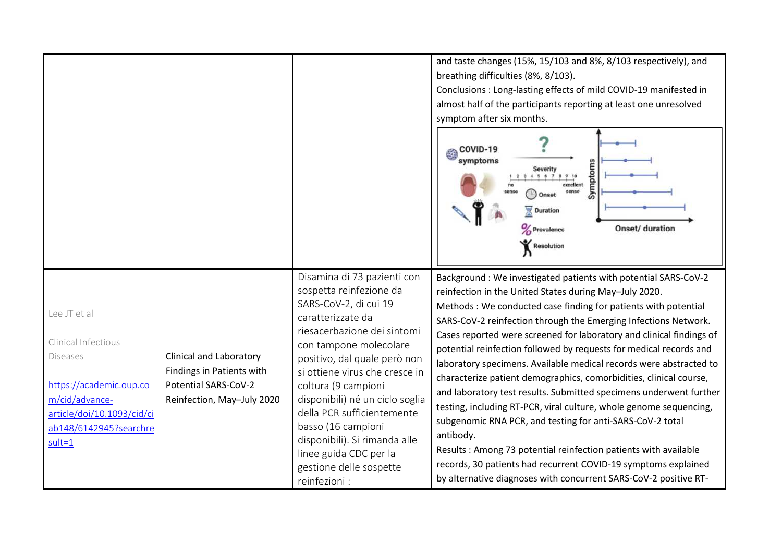|                                                                                                                                                                           |                                                                                                                   |                                                                                                                                                                                                                                                                                                                                                                                                                                                      | and taste changes (15%, 15/103 and 8%, 8/103 respectively), and<br>breathing difficulties (8%, 8/103).<br>Conclusions: Long-lasting effects of mild COVID-19 manifested in<br>almost half of the participants reporting at least one unresolved<br>symptom after six months.<br>COVID-19<br>symptoms<br>Symptoms<br>Severity<br>2 3 4 5 6 7 8 9 10<br>sense<br>Onset<br><b>Duration</b><br>Onset/ duration<br>Prevalence<br>Resolution                                                                                                                                                                                                                                                                                                                                                                                                                                                                                                                                                   |
|---------------------------------------------------------------------------------------------------------------------------------------------------------------------------|-------------------------------------------------------------------------------------------------------------------|------------------------------------------------------------------------------------------------------------------------------------------------------------------------------------------------------------------------------------------------------------------------------------------------------------------------------------------------------------------------------------------------------------------------------------------------------|------------------------------------------------------------------------------------------------------------------------------------------------------------------------------------------------------------------------------------------------------------------------------------------------------------------------------------------------------------------------------------------------------------------------------------------------------------------------------------------------------------------------------------------------------------------------------------------------------------------------------------------------------------------------------------------------------------------------------------------------------------------------------------------------------------------------------------------------------------------------------------------------------------------------------------------------------------------------------------------|
| Lee JT et al<br>Clinical Infectious<br><b>Diseases</b><br>https://academic.oup.co<br>m/cid/advance-<br>article/doi/10.1093/cid/ci<br>ab148/6142945?searchre<br>$sult = 1$ | <b>Clinical and Laboratory</b><br>Findings in Patients with<br>Potential SARS-CoV-2<br>Reinfection, May-July 2020 | Disamina di 73 pazienti con<br>sospetta reinfezione da<br>SARS-CoV-2, di cui 19<br>caratterizzate da<br>riesacerbazione dei sintomi<br>con tampone molecolare<br>positivo, dal quale però non<br>si ottiene virus che cresce in<br>coltura (9 campioni<br>disponibili) né un ciclo soglia<br>della PCR sufficientemente<br>basso (16 campioni<br>disponibili). Si rimanda alle<br>linee guida CDC per la<br>gestione delle sospette<br>reinfezioni : | Background : We investigated patients with potential SARS-CoV-2<br>reinfection in the United States during May-July 2020.<br>Methods : We conducted case finding for patients with potential<br>SARS-CoV-2 reinfection through the Emerging Infections Network.<br>Cases reported were screened for laboratory and clinical findings of<br>potential reinfection followed by requests for medical records and<br>laboratory specimens. Available medical records were abstracted to<br>characterize patient demographics, comorbidities, clinical course,<br>and laboratory test results. Submitted specimens underwent further<br>testing, including RT-PCR, viral culture, whole genome sequencing,<br>subgenomic RNA PCR, and testing for anti-SARS-CoV-2 total<br>antibody.<br>Results: Among 73 potential reinfection patients with available<br>records, 30 patients had recurrent COVID-19 symptoms explained<br>by alternative diagnoses with concurrent SARS-CoV-2 positive RT- |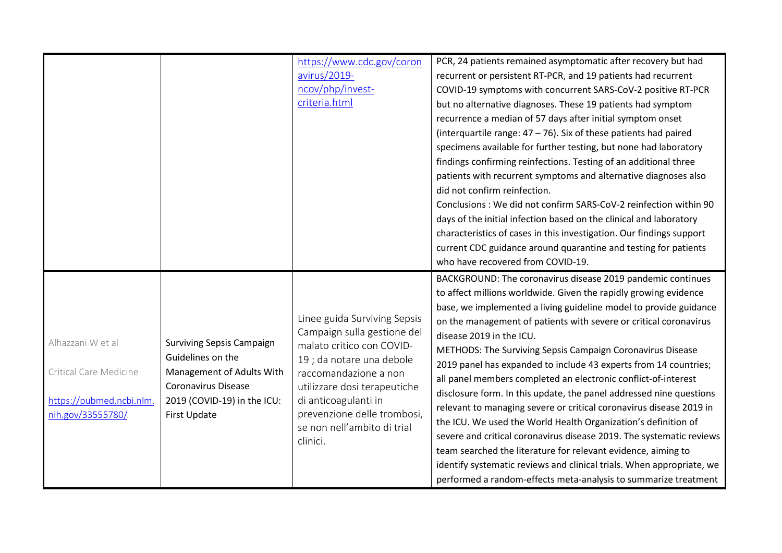|                          |                                  | https://www.cdc.gov/coron    | PCR, 24 patients remained asymptomatic after recovery but had                                 |
|--------------------------|----------------------------------|------------------------------|-----------------------------------------------------------------------------------------------|
|                          |                                  | avirus/2019-                 | recurrent or persistent RT-PCR, and 19 patients had recurrent                                 |
|                          |                                  | ncov/php/invest-             | COVID-19 symptoms with concurrent SARS-CoV-2 positive RT-PCR                                  |
|                          |                                  | criteria.html                | but no alternative diagnoses. These 19 patients had symptom                                   |
|                          |                                  |                              | recurrence a median of 57 days after initial symptom onset                                    |
|                          |                                  |                              | (interquartile range: $47 - 76$ ). Six of these patients had paired                           |
|                          |                                  |                              | specimens available for further testing, but none had laboratory                              |
|                          |                                  |                              | findings confirming reinfections. Testing of an additional three                              |
|                          |                                  |                              | patients with recurrent symptoms and alternative diagnoses also                               |
|                          |                                  |                              | did not confirm reinfection.                                                                  |
|                          |                                  |                              | Conclusions: We did not confirm SARS-CoV-2 reinfection within 90                              |
|                          |                                  |                              | days of the initial infection based on the clinical and laboratory                            |
|                          |                                  |                              | characteristics of cases in this investigation. Our findings support                          |
|                          |                                  |                              | current CDC guidance around quarantine and testing for patients                               |
|                          |                                  |                              | who have recovered from COVID-19.                                                             |
|                          |                                  |                              | BACKGROUND: The coronavirus disease 2019 pandemic continues                                   |
|                          |                                  |                              | to affect millions worldwide. Given the rapidly growing evidence                              |
|                          |                                  |                              | base, we implemented a living guideline model to provide guidance                             |
|                          |                                  | Linee guida Surviving Sepsis |                                                                                               |
|                          |                                  | Campaign sulla gestione del  | on the management of patients with severe or critical coronavirus<br>disease 2019 in the ICU. |
| Alhazzani W et al        | <b>Surviving Sepsis Campaign</b> | malato critico con COVID-    |                                                                                               |
|                          | Guidelines on the                | 19 ; da notare una debole    | METHODS: The Surviving Sepsis Campaign Coronavirus Disease                                    |
| Critical Care Medicine   | Management of Adults With        | raccomandazione a non        | 2019 panel has expanded to include 43 experts from 14 countries;                              |
|                          | <b>Coronavirus Disease</b>       | utilizzare dosi terapeutiche | all panel members completed an electronic conflict-of-interest                                |
| https://pubmed.ncbi.nlm. | 2019 (COVID-19) in the ICU:      | di anticoagulanti in         | disclosure form. In this update, the panel addressed nine questions                           |
| nih.gov/33555780/        | First Update                     | prevenzione delle trombosi,  | relevant to managing severe or critical coronavirus disease 2019 in                           |
|                          |                                  | se non nell'ambito di trial  | the ICU. We used the World Health Organization's definition of                                |
|                          |                                  | clinici.                     | severe and critical coronavirus disease 2019. The systematic reviews                          |
|                          |                                  |                              | team searched the literature for relevant evidence, aiming to                                 |
|                          |                                  |                              | identify systematic reviews and clinical trials. When appropriate, we                         |
|                          |                                  |                              | performed a random-effects meta-analysis to summarize treatment                               |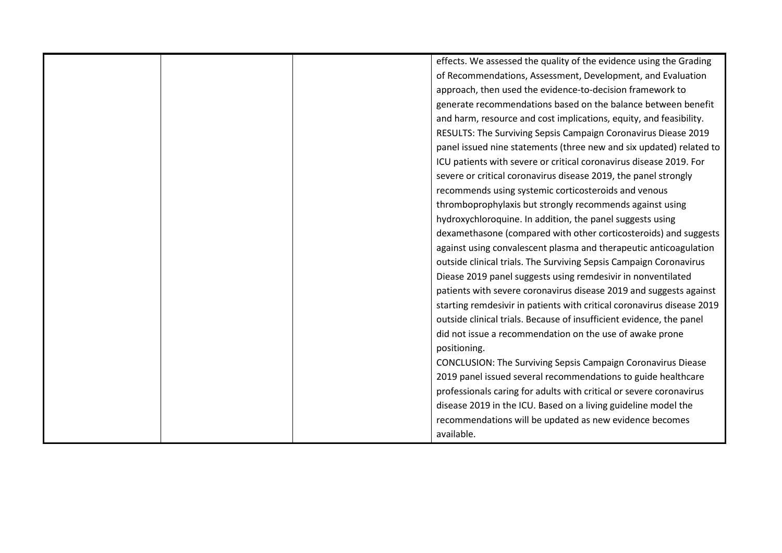|  | effects. We assessed the quality of the evidence using the Grading     |
|--|------------------------------------------------------------------------|
|  | of Recommendations, Assessment, Development, and Evaluation            |
|  | approach, then used the evidence-to-decision framework to              |
|  | generate recommendations based on the balance between benefit          |
|  | and harm, resource and cost implications, equity, and feasibility.     |
|  | RESULTS: The Surviving Sepsis Campaign Coronavirus Diease 2019         |
|  | panel issued nine statements (three new and six updated) related to    |
|  | ICU patients with severe or critical coronavirus disease 2019. For     |
|  | severe or critical coronavirus disease 2019, the panel strongly        |
|  | recommends using systemic corticosteroids and venous                   |
|  | thromboprophylaxis but strongly recommends against using               |
|  | hydroxychloroquine. In addition, the panel suggests using              |
|  | dexamethasone (compared with other corticosteroids) and suggests       |
|  | against using convalescent plasma and therapeutic anticoagulation      |
|  | outside clinical trials. The Surviving Sepsis Campaign Coronavirus     |
|  | Diease 2019 panel suggests using remdesivir in nonventilated           |
|  | patients with severe coronavirus disease 2019 and suggests against     |
|  | starting remdesivir in patients with critical coronavirus disease 2019 |
|  | outside clinical trials. Because of insufficient evidence, the panel   |
|  | did not issue a recommendation on the use of awake prone               |
|  | positioning.                                                           |
|  | <b>CONCLUSION: The Surviving Sepsis Campaign Coronavirus Diease</b>    |
|  | 2019 panel issued several recommendations to guide healthcare          |
|  | professionals caring for adults with critical or severe coronavirus    |
|  | disease 2019 in the ICU. Based on a living guideline model the         |
|  | recommendations will be updated as new evidence becomes                |
|  | available.                                                             |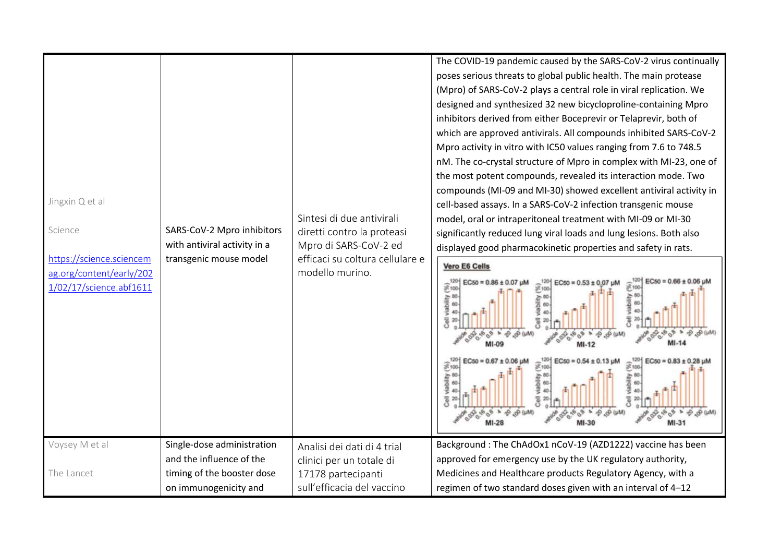| Jingxin Q et al<br>Science<br>https://science.sciencem<br>ag.org/content/early/202<br>1/02/17/science.abf1611 | SARS-CoV-2 Mpro inhibitors<br>with antiviral activity in a<br>transgenic mouse model | Sintesi di due antivirali<br>diretti contro la proteasi<br>Mpro di SARS-CoV-2 ed<br>efficaci su coltura cellulare e<br>modello murino. | The COVID-19 pandemic caused by the SARS-CoV-2 virus continually<br>poses serious threats to global public health. The main protease<br>(Mpro) of SARS-CoV-2 plays a central role in viral replication. We<br>designed and synthesized 32 new bicycloproline-containing Mpro<br>inhibitors derived from either Boceprevir or Telaprevir, both of<br>which are approved antivirals. All compounds inhibited SARS-CoV-2<br>Mpro activity in vitro with IC50 values ranging from 7.6 to 748.5<br>nM. The co-crystal structure of Mpro in complex with MI-23, one of<br>the most potent compounds, revealed its interaction mode. Two<br>compounds (MI-09 and MI-30) showed excellent antiviral activity in<br>cell-based assays. In a SARS-CoV-2 infection transgenic mouse<br>model, oral or intraperitoneal treatment with MI-09 or MI-30<br>significantly reduced lung viral loads and lung lesions. Both also<br>displayed good pharmacokinetic properties and safety in rats.<br>Vero E6 Cells<br>$EC50 = 0.66$<br>$EC50 = 0.53 \pm 0.07$<br>Fiac<br>viability<br>888<br><b>Gell</b><br>EC <sub>50</sub><br>$\sqrt{2100}$<br>8100<br>viability<br>* ® ®<br>Cell |
|---------------------------------------------------------------------------------------------------------------|--------------------------------------------------------------------------------------|----------------------------------------------------------------------------------------------------------------------------------------|-------------------------------------------------------------------------------------------------------------------------------------------------------------------------------------------------------------------------------------------------------------------------------------------------------------------------------------------------------------------------------------------------------------------------------------------------------------------------------------------------------------------------------------------------------------------------------------------------------------------------------------------------------------------------------------------------------------------------------------------------------------------------------------------------------------------------------------------------------------------------------------------------------------------------------------------------------------------------------------------------------------------------------------------------------------------------------------------------------------------------------------------------------------------|
| Voysey M et al                                                                                                | Single-dose administration<br>and the influence of the                               | Analisi dei dati di 4 trial                                                                                                            | Background: The ChAdOx1 nCoV-19 (AZD1222) vaccine has been<br>approved for emergency use by the UK regulatory authority,                                                                                                                                                                                                                                                                                                                                                                                                                                                                                                                                                                                                                                                                                                                                                                                                                                                                                                                                                                                                                                          |
|                                                                                                               |                                                                                      | clinici per un totale di                                                                                                               |                                                                                                                                                                                                                                                                                                                                                                                                                                                                                                                                                                                                                                                                                                                                                                                                                                                                                                                                                                                                                                                                                                                                                                   |
| The Lancet                                                                                                    | timing of the booster dose                                                           | 17178 partecipanti                                                                                                                     | Medicines and Healthcare products Regulatory Agency, with a                                                                                                                                                                                                                                                                                                                                                                                                                                                                                                                                                                                                                                                                                                                                                                                                                                                                                                                                                                                                                                                                                                       |
|                                                                                                               | on immunogenicity and                                                                | sull'efficacia del vaccino                                                                                                             | regimen of two standard doses given with an interval of 4-12                                                                                                                                                                                                                                                                                                                                                                                                                                                                                                                                                                                                                                                                                                                                                                                                                                                                                                                                                                                                                                                                                                      |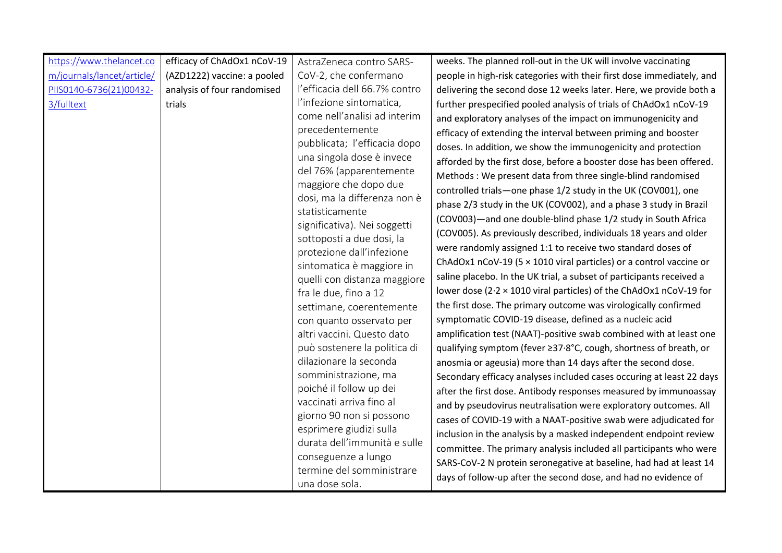| https://www.thelancet.co   | efficacy of ChAdOx1 nCoV-19 | AstraZeneca contro SARS-                                | weeks. The planned roll-out in the UK will involve vaccinating            |
|----------------------------|-----------------------------|---------------------------------------------------------|---------------------------------------------------------------------------|
| m/journals/lancet/article/ | (AZD1222) vaccine: a pooled | CoV-2, che confermano                                   | people in high-risk categories with their first dose immediately, and     |
| PIIS0140-6736(21)00432-    | analysis of four randomised | l'efficacia dell 66.7% contro                           | delivering the second dose 12 weeks later. Here, we provide both a        |
| 3/fulltext                 | trials                      | l'infezione sintomatica,                                | further prespecified pooled analysis of trials of ChAdOx1 nCoV-19         |
|                            |                             | come nell'analisi ad interim                            | and exploratory analyses of the impact on immunogenicity and              |
|                            |                             | precedentemente                                         | efficacy of extending the interval between priming and booster            |
|                            |                             | pubblicata; l'efficacia dopo                            | doses. In addition, we show the immunogenicity and protection             |
|                            |                             | una singola dose è invece                               | afforded by the first dose, before a booster dose has been offered.       |
|                            |                             | del 76% (apparentemente                                 | Methods : We present data from three single-blind randomised              |
|                            |                             | maggiore che dopo due<br>dosi, ma la differenza non è   | controlled trials-one phase 1/2 study in the UK (COV001), one             |
|                            |                             | statisticamente                                         | phase 2/3 study in the UK (COV002), and a phase 3 study in Brazil         |
|                            |                             | significativa). Nei soggetti                            | (COV003)-and one double-blind phase 1/2 study in South Africa             |
|                            |                             | sottoposti a due dosi, la                               | (COV005). As previously described, individuals 18 years and older         |
|                            |                             | protezione dall'infezione                               | were randomly assigned 1:1 to receive two standard doses of               |
|                            |                             | sintomatica è maggiore in                               | ChAdOx1 nCoV-19 (5 $\times$ 1010 viral particles) or a control vaccine or |
|                            |                             | quelli con distanza maggiore                            | saline placebo. In the UK trial, a subset of participants received a      |
|                            |                             | fra le due, fino a 12                                   | lower dose (2.2 x 1010 viral particles) of the ChAdOx1 nCoV-19 for        |
|                            |                             | settimane, coerentemente                                | the first dose. The primary outcome was virologically confirmed           |
|                            |                             | con quanto osservato per                                | symptomatic COVID-19 disease, defined as a nucleic acid                   |
|                            |                             | altri vaccini. Questo dato                              | amplification test (NAAT)-positive swab combined with at least one        |
|                            |                             | può sostenere la politica di                            | qualifying symptom (fever ≥37.8°C, cough, shortness of breath, or         |
|                            |                             | dilazionare la seconda                                  | anosmia or ageusia) more than 14 days after the second dose.              |
|                            |                             | somministrazione, ma                                    | Secondary efficacy analyses included cases occuring at least 22 days      |
|                            |                             | poiché il follow up dei                                 | after the first dose. Antibody responses measured by immunoassay          |
|                            |                             | vaccinati arriva fino al                                | and by pseudovirus neutralisation were exploratory outcomes. All          |
|                            |                             | giorno 90 non si possono                                | cases of COVID-19 with a NAAT-positive swab were adjudicated for          |
|                            |                             | esprimere giudizi sulla<br>durata dell'immunità e sulle | inclusion in the analysis by a masked independent endpoint review         |
|                            |                             | conseguenze a lungo                                     | committee. The primary analysis included all participants who were        |
|                            |                             | termine del somministrare                               | SARS-CoV-2 N protein seronegative at baseline, had had at least 14        |
|                            |                             | una dose sola.                                          | days of follow-up after the second dose, and had no evidence of           |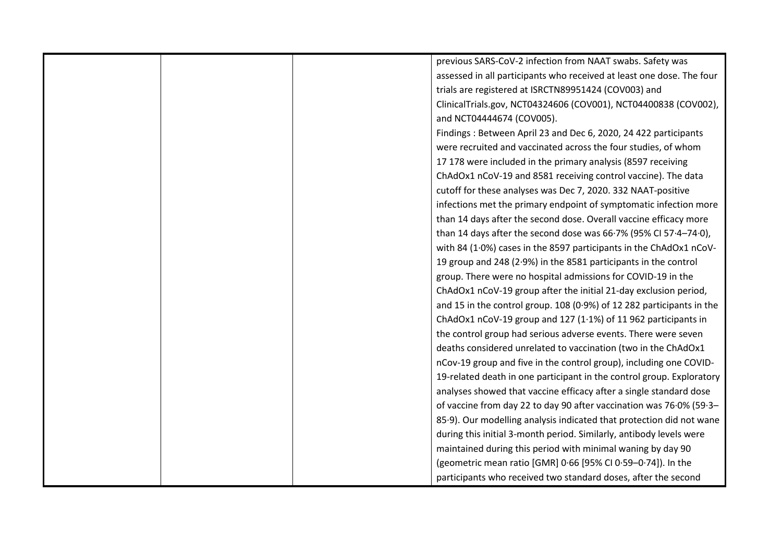|  | previous SARS-CoV-2 infection from NAAT swabs. Safety was             |
|--|-----------------------------------------------------------------------|
|  | assessed in all participants who received at least one dose. The four |
|  | trials are registered at ISRCTN89951424 (COV003) and                  |
|  | ClinicalTrials.gov, NCT04324606 (COV001), NCT04400838 (COV002),       |
|  | and NCT04444674 (COV005).                                             |
|  | Findings: Between April 23 and Dec 6, 2020, 24 422 participants       |
|  | were recruited and vaccinated across the four studies, of whom        |
|  | 17 178 were included in the primary analysis (8597 receiving          |
|  | ChAdOx1 nCoV-19 and 8581 receiving control vaccine). The data         |
|  | cutoff for these analyses was Dec 7, 2020. 332 NAAT-positive          |
|  | infections met the primary endpoint of symptomatic infection more     |
|  | than 14 days after the second dose. Overall vaccine efficacy more     |
|  | than 14 days after the second dose was 66.7% (95% CI 57.4-74.0),      |
|  | with 84 (1.0%) cases in the 8597 participants in the ChAdOx1 nCoV-    |
|  | 19 group and 248 (2.9%) in the 8581 participants in the control       |
|  | group. There were no hospital admissions for COVID-19 in the          |
|  | ChAdOx1 nCoV-19 group after the initial 21-day exclusion period,      |
|  | and 15 in the control group. 108 (0.9%) of 12 282 participants in the |
|  | ChAdOx1 nCoV-19 group and 127 (1.1%) of 11 962 participants in        |
|  | the control group had serious adverse events. There were seven        |
|  | deaths considered unrelated to vaccination (two in the ChAdOx1        |
|  | nCov-19 group and five in the control group), including one COVID-    |
|  | 19-related death in one participant in the control group. Exploratory |
|  | analyses showed that vaccine efficacy after a single standard dose    |
|  | of vaccine from day 22 to day 90 after vaccination was 76.0% (59.3-   |
|  | 85.9). Our modelling analysis indicated that protection did not wane  |
|  | during this initial 3-month period. Similarly, antibody levels were   |
|  | maintained during this period with minimal waning by day 90           |
|  | (geometric mean ratio [GMR] 0.66 [95% CI 0.59-0.74]). In the          |
|  | participants who received two standard doses, after the second        |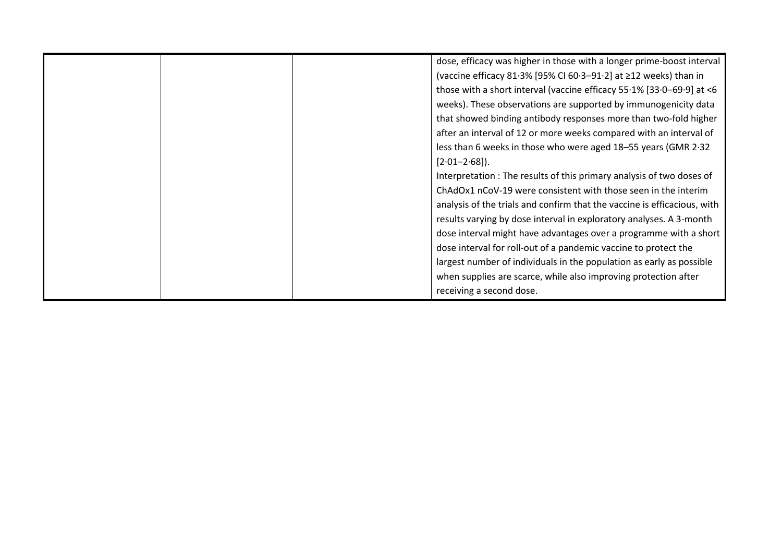|  | dose, efficacy was higher in those with a longer prime-boost interval    |
|--|--------------------------------------------------------------------------|
|  | (vaccine efficacy 81.3% [95% CI 60.3-91.2] at ≥12 weeks) than in         |
|  | those with a short interval (vaccine efficacy 55.1% [33.0-69.9] at <6    |
|  | weeks). These observations are supported by immunogenicity data          |
|  | that showed binding antibody responses more than two-fold higher         |
|  | after an interval of 12 or more weeks compared with an interval of       |
|  | less than 6 weeks in those who were aged 18-55 years (GMR 2.32           |
|  | $[2.01 - 2.68]$ .                                                        |
|  | Interpretation: The results of this primary analysis of two doses of     |
|  | ChAdOx1 nCoV-19 were consistent with those seen in the interim           |
|  | analysis of the trials and confirm that the vaccine is efficacious, with |
|  | results varying by dose interval in exploratory analyses. A 3-month      |
|  | dose interval might have advantages over a programme with a short        |
|  | dose interval for roll-out of a pandemic vaccine to protect the          |
|  | largest number of individuals in the population as early as possible     |
|  | when supplies are scarce, while also improving protection after          |
|  | receiving a second dose.                                                 |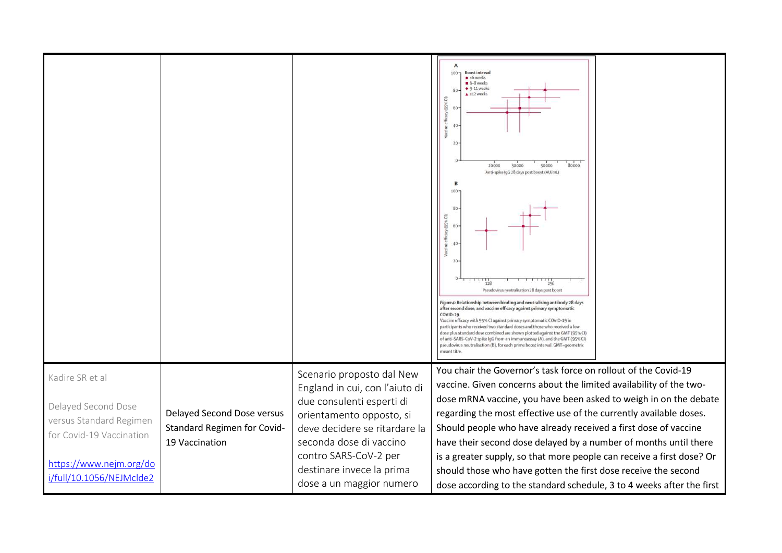|                                                                                                                                                      |                                                                             |                                                                                                                                                                                                                                                                    | $100 -$<br><b>Boost interval</b><br>$\bullet$ <6 weeks<br>6-8 weeks<br>$\bullet$ 9-11 weeks<br>80<br>$\triangle$ ≥12 weeks<br>Ξ<br>65%<br>60<br>40 <sup>°</sup><br>20<br>20000<br>50000<br>80000<br>30000<br>Anti-spike IqG 28 days post boost (AU/mL)<br>6<br>69<br>60<br>40<br>20<br>Pseudovirus neutralisation 28 days post boost<br>Figure 4: Relationship between binding and neutralising antibody 28 days<br>after second dose, and vaccine efficacy against primary symptomatic<br><b>COVID-19</b><br>Vaccine efficacy with 95% CI against primary symptomatic COVID-19 in<br>participants who received two standard doses and those who received a low<br>dose plus standard dose combined are shown plotted against the GMT (95% CI)<br>of anti-SARS-CoV-2 spike IgG from an immunoassay (A), and the GMT (95% CI)<br>pseudovirus neutralisation (B), for each prime boost interval. GMT=qeometric |  |
|------------------------------------------------------------------------------------------------------------------------------------------------------|-----------------------------------------------------------------------------|--------------------------------------------------------------------------------------------------------------------------------------------------------------------------------------------------------------------------------------------------------------------|--------------------------------------------------------------------------------------------------------------------------------------------------------------------------------------------------------------------------------------------------------------------------------------------------------------------------------------------------------------------------------------------------------------------------------------------------------------------------------------------------------------------------------------------------------------------------------------------------------------------------------------------------------------------------------------------------------------------------------------------------------------------------------------------------------------------------------------------------------------------------------------------------------------|--|
| Kadire SR et al<br>Delayed Second Dose<br>versus Standard Regimen<br>for Covid-19 Vaccination<br>https://www.nejm.org/do<br>i/full/10.1056/NEJMclde2 | Delayed Second Dose versus<br>Standard Regimen for Covid-<br>19 Vaccination | Scenario proposto dal New<br>England in cui, con l'aiuto di<br>due consulenti esperti di<br>orientamento opposto, si<br>deve decidere se ritardare la<br>seconda dose di vaccino<br>contro SARS-CoV-2 per<br>destinare invece la prima<br>dose a un maggior numero | You chair the Governor's task force on rollout of the Covid-19<br>vaccine. Given concerns about the limited availability of the two-<br>dose mRNA vaccine, you have been asked to weigh in on the debate<br>regarding the most effective use of the currently available doses.<br>Should people who have already received a first dose of vaccine<br>have their second dose delayed by a number of months until there<br>is a greater supply, so that more people can receive a first dose? Or<br>should those who have gotten the first dose receive the second<br>dose according to the standard schedule, 3 to 4 weeks after the first                                                                                                                                                                                                                                                                    |  |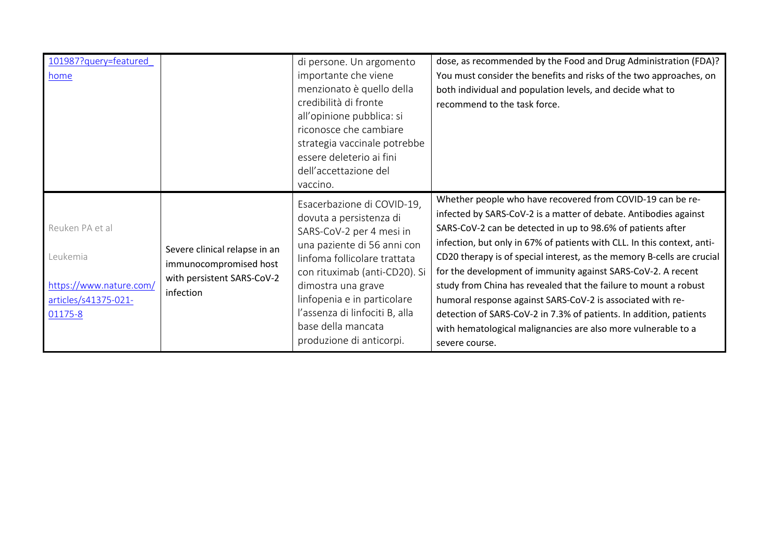| 101987?query=featured<br>home                                                             |                                                                                                    | di persone. Un argomento<br>importante che viene<br>menzionato è quello della<br>credibilità di fronte<br>all'opinione pubblica: si<br>riconosce che cambiare<br>strategia vaccinale potrebbe<br>essere deleterio ai fini<br>dell'accettazione del<br>vaccino.                                                             | dose, as recommended by the Food and Drug Administration (FDA)?<br>You must consider the benefits and risks of the two approaches, on<br>both individual and population levels, and decide what to<br>recommend to the task force.                                                                                                                                                                                                                                                                                                                                                                                                                                                                            |
|-------------------------------------------------------------------------------------------|----------------------------------------------------------------------------------------------------|----------------------------------------------------------------------------------------------------------------------------------------------------------------------------------------------------------------------------------------------------------------------------------------------------------------------------|---------------------------------------------------------------------------------------------------------------------------------------------------------------------------------------------------------------------------------------------------------------------------------------------------------------------------------------------------------------------------------------------------------------------------------------------------------------------------------------------------------------------------------------------------------------------------------------------------------------------------------------------------------------------------------------------------------------|
| Reuken PA et al<br>Leukemia<br>https://www.nature.com/<br>articles/s41375-021-<br>01175-8 | Severe clinical relapse in an<br>immunocompromised host<br>with persistent SARS-CoV-2<br>infection | Esacerbazione di COVID-19,<br>dovuta a persistenza di<br>SARS-CoV-2 per 4 mesi in<br>una paziente di 56 anni con<br>linfoma follicolare trattata<br>con rituximab (anti-CD20). Si<br>dimostra una grave<br>linfopenia e in particolare<br>l'assenza di linfociti B, alla<br>base della mancata<br>produzione di anticorpi. | Whether people who have recovered from COVID-19 can be re-<br>infected by SARS-CoV-2 is a matter of debate. Antibodies against<br>SARS-CoV-2 can be detected in up to 98.6% of patients after<br>infection, but only in 67% of patients with CLL. In this context, anti-<br>CD20 therapy is of special interest, as the memory B-cells are crucial<br>for the development of immunity against SARS-CoV-2. A recent<br>study from China has revealed that the failure to mount a robust<br>humoral response against SARS-CoV-2 is associated with re-<br>detection of SARS-CoV-2 in 7.3% of patients. In addition, patients<br>with hematological malignancies are also more vulnerable to a<br>severe course. |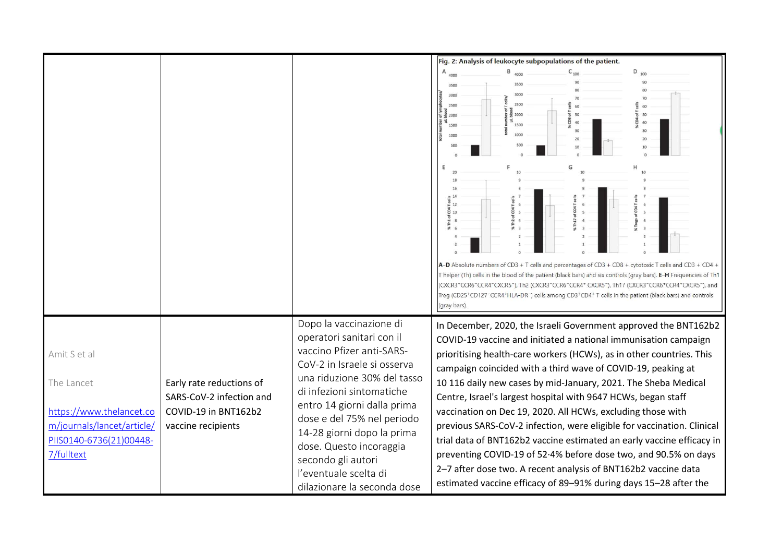|                                                                                                                               |                                                                                                    |                                                                                                                                                                                                                                                                                                                                                                                  | Fig. 2: Analysis of leukocyte subpopulations of the patient.<br>$B$ <sub>4000</sub><br>$D_{100}$<br>Α<br>4000<br>3000<br>3000<br>2500<br>2500<br>2000<br>2000<br>1500<br>1500<br>1000<br>1000<br>G<br>A-D Absolute numbers of CD3 + T cells and percentages of CD3 + CD8 + cytotoxic T cells and CD3 + CD4 +<br>T helper (Th) cells in the blood of the patient (black bars) and six controls (gray bars). <b>E-H</b> Frequencies of Th1<br>(CXCR3+CCR6-CCR4-CXCR5-), Th2 (CXCR3-CCR6-CCR4+ CXCR5-), Th17 (CXCR3-CCR6+CCR4+CXCR5-), and                                                                                                                                                                                                                                                                                                                                                                                                                          |
|-------------------------------------------------------------------------------------------------------------------------------|----------------------------------------------------------------------------------------------------|----------------------------------------------------------------------------------------------------------------------------------------------------------------------------------------------------------------------------------------------------------------------------------------------------------------------------------------------------------------------------------|------------------------------------------------------------------------------------------------------------------------------------------------------------------------------------------------------------------------------------------------------------------------------------------------------------------------------------------------------------------------------------------------------------------------------------------------------------------------------------------------------------------------------------------------------------------------------------------------------------------------------------------------------------------------------------------------------------------------------------------------------------------------------------------------------------------------------------------------------------------------------------------------------------------------------------------------------------------|
| Amit S et al<br>The Lancet<br>https://www.thelancet.co<br>m/journals/lancet/article/<br>PIIS0140-6736(21)00448-<br>7/fulltext | Early rate reductions of<br>SARS-CoV-2 infection and<br>COVID-19 in BNT162b2<br>vaccine recipients | Dopo la vaccinazione di<br>operatori sanitari con il<br>vaccino Pfizer anti-SARS-<br>CoV-2 in Israele si osserva<br>una riduzione 30% del tasso<br>di infezioni sintomatiche<br>entro 14 giorni dalla prima<br>dose e del 75% nel periodo<br>14-28 giorni dopo la prima<br>dose. Questo incoraggia<br>secondo gli autori<br>l'eventuale scelta di<br>dilazionare la seconda dose | Treg (CD25+CD127-CCR4+HLA-DR-) cells among CD3+CD4+ T cells in the patient (black bars) and controls<br>(gray bars).<br>In December, 2020, the Israeli Government approved the BNT162b2<br>COVID-19 vaccine and initiated a national immunisation campaign<br>prioritising health-care workers (HCWs), as in other countries. This<br>campaign coincided with a third wave of COVID-19, peaking at<br>10 116 daily new cases by mid-January, 2021. The Sheba Medical<br>Centre, Israel's largest hospital with 9647 HCWs, began staff<br>vaccination on Dec 19, 2020. All HCWs, excluding those with<br>previous SARS-CoV-2 infection, were eligible for vaccination. Clinical<br>trial data of BNT162b2 vaccine estimated an early vaccine efficacy in<br>preventing COVID-19 of 52.4% before dose two, and 90.5% on days<br>2-7 after dose two. A recent analysis of BNT162b2 vaccine data<br>estimated vaccine efficacy of 89-91% during days 15-28 after the |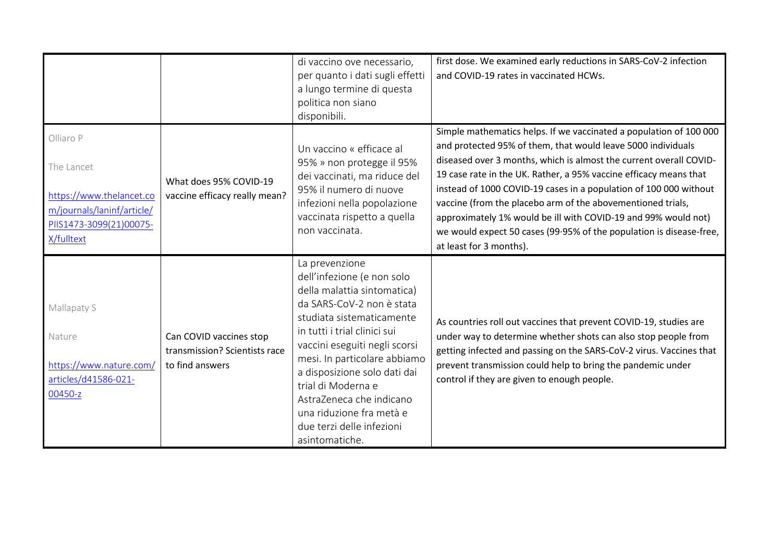|                                                                                                                            |                                                                             | di vaccino ove necessario,<br>per quanto i dati sugli effetti<br>a lungo termine di questa<br>politica non siano<br>disponibili.                                                                                                                                                                                                                                                                    | first dose. We examined early reductions in SARS-CoV-2 infection<br>and COVID-19 rates in vaccinated HCWs.                                                                                                                                                                                                                                                                                                                                                                                                                                                                            |
|----------------------------------------------------------------------------------------------------------------------------|-----------------------------------------------------------------------------|-----------------------------------------------------------------------------------------------------------------------------------------------------------------------------------------------------------------------------------------------------------------------------------------------------------------------------------------------------------------------------------------------------|---------------------------------------------------------------------------------------------------------------------------------------------------------------------------------------------------------------------------------------------------------------------------------------------------------------------------------------------------------------------------------------------------------------------------------------------------------------------------------------------------------------------------------------------------------------------------------------|
| Olliaro P<br>The Lancet<br>https://www.thelancet.co<br>m/journals/laninf/article/<br>PIIS1473-3099(21)00075-<br>X/fulltext | What does 95% COVID-19<br>vaccine efficacy really mean?                     | Un vaccino « efficace al<br>95% » non protegge il 95%<br>dei vaccinati, ma riduce del<br>95% il numero di nuove<br>infezioni nella popolazione<br>vaccinata rispetto a quella<br>non vaccinata.                                                                                                                                                                                                     | Simple mathematics helps. If we vaccinated a population of 100 000<br>and protected 95% of them, that would leave 5000 individuals<br>diseased over 3 months, which is almost the current overall COVID-<br>19 case rate in the UK. Rather, a 95% vaccine efficacy means that<br>instead of 1000 COVID-19 cases in a population of 100 000 without<br>vaccine (from the placebo arm of the abovementioned trials,<br>approximately 1% would be ill with COVID-19 and 99% would not)<br>we would expect 50 cases (99.95% of the population is disease-free,<br>at least for 3 months). |
| Mallapaty S<br>Nature<br>https://www.nature.com/<br>articles/d41586-021-<br>00450-z                                        | Can COVID vaccines stop<br>transmission? Scientists race<br>to find answers | La prevenzione<br>dell'infezione (e non solo<br>della malattia sintomatica)<br>da SARS-CoV-2 non è stata<br>studiata sistematicamente<br>in tutti i trial clinici sui<br>vaccini eseguiti negli scorsi<br>mesi. In particolare abbiamo<br>a disposizione solo dati dai<br>trial di Moderna e<br>AstraZeneca che indicano<br>una riduzione fra metà e<br>due terzi delle infezioni<br>asintomatiche. | As countries roll out vaccines that prevent COVID-19, studies are<br>under way to determine whether shots can also stop people from<br>getting infected and passing on the SARS-CoV-2 virus. Vaccines that<br>prevent transmission could help to bring the pandemic under<br>control if they are given to enough people.                                                                                                                                                                                                                                                              |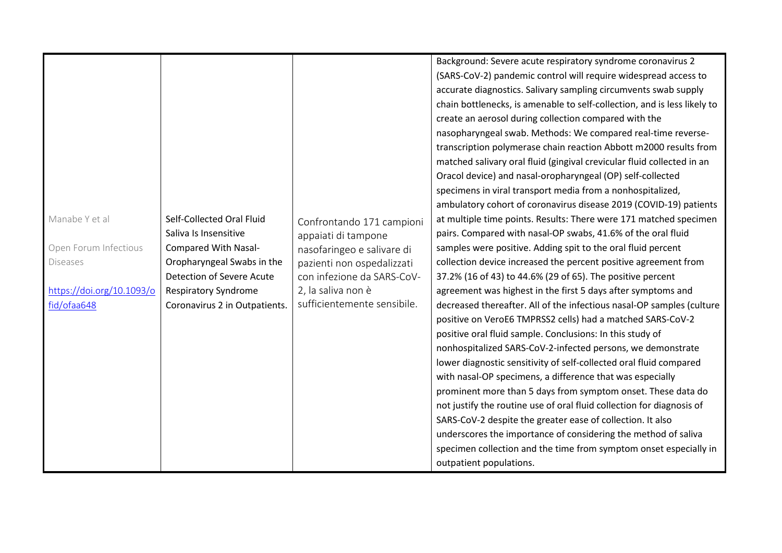|                           |                               |                             | Background: Severe acute respiratory syndrome coronavirus 2              |
|---------------------------|-------------------------------|-----------------------------|--------------------------------------------------------------------------|
|                           |                               |                             | (SARS-CoV-2) pandemic control will require widespread access to          |
|                           |                               |                             | accurate diagnostics. Salivary sampling circumvents swab supply          |
|                           |                               |                             | chain bottlenecks, is amenable to self-collection, and is less likely to |
|                           |                               |                             | create an aerosol during collection compared with the                    |
|                           |                               |                             | nasopharyngeal swab. Methods: We compared real-time reverse-             |
|                           |                               |                             | transcription polymerase chain reaction Abbott m2000 results from        |
|                           |                               |                             | matched salivary oral fluid (gingival crevicular fluid collected in an   |
|                           |                               |                             | Oracol device) and nasal-oropharyngeal (OP) self-collected               |
|                           |                               |                             | specimens in viral transport media from a nonhospitalized,               |
|                           |                               |                             | ambulatory cohort of coronavirus disease 2019 (COVID-19) patients        |
| Manabe Y et al            | Self-Collected Oral Fluid     | Confrontando 171 campioni   | at multiple time points. Results: There were 171 matched specimen        |
|                           | Saliva Is Insensitive         | appaiati di tampone         | pairs. Compared with nasal-OP swabs, 41.6% of the oral fluid             |
| Open Forum Infectious     | Compared With Nasal-          | nasofaringeo e salivare di  | samples were positive. Adding spit to the oral fluid percent             |
| <b>Diseases</b>           | Oropharyngeal Swabs in the    | pazienti non ospedalizzati  | collection device increased the percent positive agreement from          |
|                           | Detection of Severe Acute     | con infezione da SARS-CoV-  | 37.2% (16 of 43) to 44.6% (29 of 65). The positive percent               |
| https://doi.org/10.1093/o | <b>Respiratory Syndrome</b>   | 2, la saliva non è          | agreement was highest in the first 5 days after symptoms and             |
| fid/ofaa648               | Coronavirus 2 in Outpatients. | sufficientemente sensibile. | decreased thereafter. All of the infectious nasal-OP samples (culture    |
|                           |                               |                             | positive on VeroE6 TMPRSS2 cells) had a matched SARS-CoV-2               |
|                           |                               |                             | positive oral fluid sample. Conclusions: In this study of                |
|                           |                               |                             | nonhospitalized SARS-CoV-2-infected persons, we demonstrate              |
|                           |                               |                             | lower diagnostic sensitivity of self-collected oral fluid compared       |
|                           |                               |                             | with nasal-OP specimens, a difference that was especially                |
|                           |                               |                             | prominent more than 5 days from symptom onset. These data do             |
|                           |                               |                             | not justify the routine use of oral fluid collection for diagnosis of    |
|                           |                               |                             | SARS-CoV-2 despite the greater ease of collection. It also               |
|                           |                               |                             | underscores the importance of considering the method of saliva           |
|                           |                               |                             | specimen collection and the time from symptom onset especially in        |
|                           |                               |                             | outpatient populations.                                                  |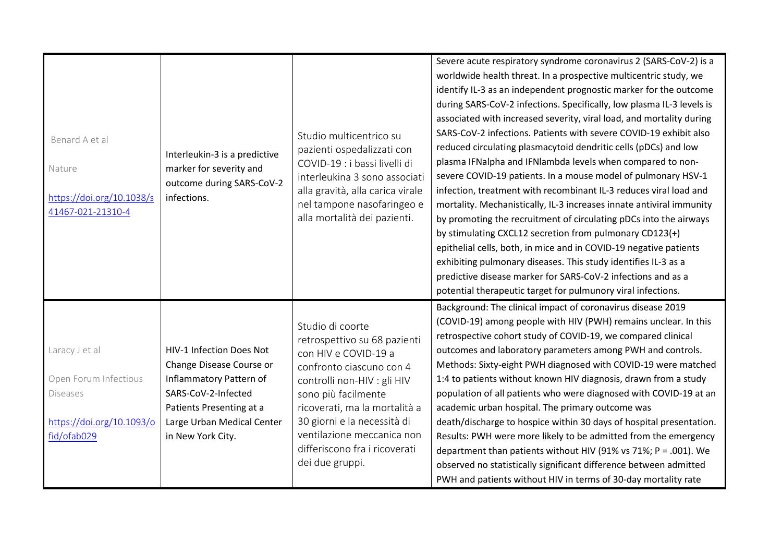| Benard A et al<br>Nature<br>https://doi.org/10.1038/s<br>41467-021-21310-4                             | Interleukin-3 is a predictive<br>marker for severity and<br>outcome during SARS-CoV-2<br>infections.                                                                                  | Studio multicentrico su<br>pazienti ospedalizzati con<br>COVID-19 : i bassi livelli di<br>interleukina 3 sono associati<br>alla gravità, alla carica virale<br>nel tampone nasofaringeo e<br>alla mortalità dei pazienti.                                                                                    | Severe acute respiratory syndrome coronavirus 2 (SARS-CoV-2) is a<br>worldwide health threat. In a prospective multicentric study, we<br>identify IL-3 as an independent prognostic marker for the outcome<br>during SARS-CoV-2 infections. Specifically, low plasma IL-3 levels is<br>associated with increased severity, viral load, and mortality during<br>SARS-CoV-2 infections. Patients with severe COVID-19 exhibit also<br>reduced circulating plasmacytoid dendritic cells (pDCs) and low<br>plasma IFNalpha and IFNlambda levels when compared to non-<br>severe COVID-19 patients. In a mouse model of pulmonary HSV-1<br>infection, treatment with recombinant IL-3 reduces viral load and<br>mortality. Mechanistically, IL-3 increases innate antiviral immunity<br>by promoting the recruitment of circulating pDCs into the airways<br>by stimulating CXCL12 secretion from pulmonary CD123(+)<br>epithelial cells, both, in mice and in COVID-19 negative patients<br>exhibiting pulmonary diseases. This study identifies IL-3 as a<br>predictive disease marker for SARS-CoV-2 infections and as a<br>potential therapeutic target for pulmunory viral infections. |
|--------------------------------------------------------------------------------------------------------|---------------------------------------------------------------------------------------------------------------------------------------------------------------------------------------|--------------------------------------------------------------------------------------------------------------------------------------------------------------------------------------------------------------------------------------------------------------------------------------------------------------|----------------------------------------------------------------------------------------------------------------------------------------------------------------------------------------------------------------------------------------------------------------------------------------------------------------------------------------------------------------------------------------------------------------------------------------------------------------------------------------------------------------------------------------------------------------------------------------------------------------------------------------------------------------------------------------------------------------------------------------------------------------------------------------------------------------------------------------------------------------------------------------------------------------------------------------------------------------------------------------------------------------------------------------------------------------------------------------------------------------------------------------------------------------------------------------|
| Laracy J et al<br>Open Forum Infectious<br><b>Diseases</b><br>https://doi.org/10.1093/o<br>fid/ofab029 | HIV-1 Infection Does Not<br>Change Disease Course or<br>Inflammatory Pattern of<br>SARS-CoV-2-Infected<br>Patients Presenting at a<br>Large Urban Medical Center<br>in New York City. | Studio di coorte<br>retrospettivo su 68 pazienti<br>con HIV e COVID-19 a<br>confronto ciascuno con 4<br>controlli non-HIV : gli HIV<br>sono più facilmente<br>ricoverati, ma la mortalità a<br>30 giorni e la necessità di<br>ventilazione meccanica non<br>differiscono fra i ricoverati<br>dei due gruppi. | Background: The clinical impact of coronavirus disease 2019<br>(COVID-19) among people with HIV (PWH) remains unclear. In this<br>retrospective cohort study of COVID-19, we compared clinical<br>outcomes and laboratory parameters among PWH and controls.<br>Methods: Sixty-eight PWH diagnosed with COVID-19 were matched<br>1:4 to patients without known HIV diagnosis, drawn from a study<br>population of all patients who were diagnosed with COVID-19 at an<br>academic urban hospital. The primary outcome was<br>death/discharge to hospice within 30 days of hospital presentation.<br>Results: PWH were more likely to be admitted from the emergency<br>department than patients without HIV (91% vs 71%; P = .001). We<br>observed no statistically significant difference between admitted<br>PWH and patients without HIV in terms of 30-day mortality rate                                                                                                                                                                                                                                                                                                          |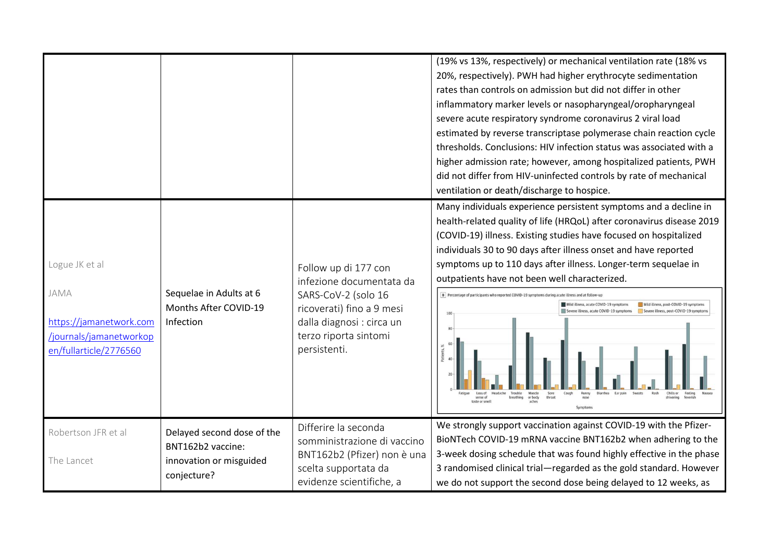|                                                                                                        |                                                                                           |                                                                                                                                                                            | (19% vs 13%, respectively) or mechanical ventilation rate (18% vs<br>20%, respectively). PWH had higher erythrocyte sedimentation<br>rates than controls on admission but did not differ in other<br>inflammatory marker levels or nasopharyngeal/oropharyngeal<br>severe acute respiratory syndrome coronavirus 2 viral load<br>estimated by reverse transcriptase polymerase chain reaction cycle<br>thresholds. Conclusions: HIV infection status was associated with a<br>higher admission rate; however, among hospitalized patients, PWH<br>did not differ from HIV-uninfected controls by rate of mechanical<br>ventilation or death/discharge to hospice.                                                                                            |
|--------------------------------------------------------------------------------------------------------|-------------------------------------------------------------------------------------------|----------------------------------------------------------------------------------------------------------------------------------------------------------------------------|--------------------------------------------------------------------------------------------------------------------------------------------------------------------------------------------------------------------------------------------------------------------------------------------------------------------------------------------------------------------------------------------------------------------------------------------------------------------------------------------------------------------------------------------------------------------------------------------------------------------------------------------------------------------------------------------------------------------------------------------------------------|
| Logue JK et al<br>JAMA<br>https://jamanetwork.com<br>/journals/jamanetworkop<br>en/fullarticle/2776560 | Sequelae in Adults at 6<br>Months After COVID-19<br>Infection                             | Follow up di 177 con<br>infezione documentata da<br>SARS-CoV-2 (solo 16<br>ricoverati) fino a 9 mesi<br>dalla diagnosi : circa un<br>terzo riporta sintomi<br>persistenti. | Many individuals experience persistent symptoms and a decline in<br>health-related quality of life (HRQoL) after coronavirus disease 2019<br>(COVID-19) illness. Existing studies have focused on hospitalized<br>individuals 30 to 90 days after illness onset and have reported<br>symptoms up to 110 days after illness. Longer-term sequelae in<br>outpatients have not been well characterized.<br>B Percentage of participants who reported COVID-19 symptoms during acute illness and at follow-up<br>Mild illness, acute COVID-19 symptoms<br>Mild illness, post-COVID-19 symptom<br>re illness, acute COVID-19 symptoms<br>Severe illness, post-COVID-19 sympt<br>Headache<br>Trouble<br>Muscle<br>or body<br>throat<br>breathing<br>taste or smell |
| Robertson JFR et al<br>The Lancet                                                                      | Delayed second dose of the<br>BNT162b2 vaccine:<br>innovation or misguided<br>conjecture? | Differire la seconda<br>somministrazione di vaccino<br>BNT162b2 (Pfizer) non è una<br>scelta supportata da<br>evidenze scientifiche, a                                     | We strongly support vaccination against COVID-19 with the Pfizer-<br>BioNTech COVID-19 mRNA vaccine BNT162b2 when adhering to the<br>3-week dosing schedule that was found highly effective in the phase<br>3 randomised clinical trial-regarded as the gold standard. However<br>we do not support the second dose being delayed to 12 weeks, as                                                                                                                                                                                                                                                                                                                                                                                                            |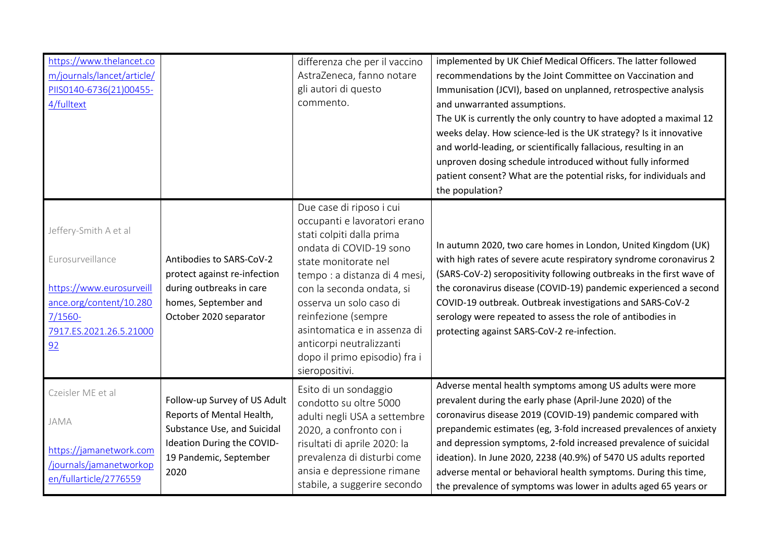| https://www.thelancet.co<br>m/journals/lancet/article/<br>PIIS0140-6736(21)00455-<br>4/fulltext                                                 |                                                                                                                                                          | differenza che per il vaccino<br>AstraZeneca, fanno notare<br>gli autori di questo<br>commento.                                                                                                                                                                                                                                                                         | implemented by UK Chief Medical Officers. The latter followed<br>recommendations by the Joint Committee on Vaccination and<br>Immunisation (JCVI), based on unplanned, retrospective analysis<br>and unwarranted assumptions.<br>The UK is currently the only country to have adopted a maximal 12<br>weeks delay. How science-led is the UK strategy? Is it innovative<br>and world-leading, or scientifically fallacious, resulting in an<br>unproven dosing schedule introduced without fully informed<br>patient consent? What are the potential risks, for individuals and<br>the population? |
|-------------------------------------------------------------------------------------------------------------------------------------------------|----------------------------------------------------------------------------------------------------------------------------------------------------------|-------------------------------------------------------------------------------------------------------------------------------------------------------------------------------------------------------------------------------------------------------------------------------------------------------------------------------------------------------------------------|----------------------------------------------------------------------------------------------------------------------------------------------------------------------------------------------------------------------------------------------------------------------------------------------------------------------------------------------------------------------------------------------------------------------------------------------------------------------------------------------------------------------------------------------------------------------------------------------------|
| Jeffery-Smith A et al<br>Eurosurveillance<br>https://www.eurosurveill<br>ance.org/content/10.280<br>$7/1560 -$<br>7917.ES.2021.26.5.21000<br>92 | Antibodies to SARS-CoV-2<br>protect against re-infection<br>during outbreaks in care<br>homes, September and<br>October 2020 separator                   | Due case di riposo i cui<br>occupanti e lavoratori erano<br>stati colpiti dalla prima<br>ondata di COVID-19 sono<br>state monitorate nel<br>tempo : a distanza di 4 mesi,<br>con la seconda ondata, si<br>osserva un solo caso di<br>reinfezione (sempre<br>asintomatica e in assenza di<br>anticorpi neutralizzanti<br>dopo il primo episodio) fra i<br>sieropositivi. | In autumn 2020, two care homes in London, United Kingdom (UK)<br>with high rates of severe acute respiratory syndrome coronavirus 2<br>(SARS-CoV-2) seropositivity following outbreaks in the first wave of<br>the coronavirus disease (COVID-19) pandemic experienced a second<br>COVID-19 outbreak. Outbreak investigations and SARS-CoV-2<br>serology were repeated to assess the role of antibodies in<br>protecting against SARS-CoV-2 re-infection.                                                                                                                                          |
| Czeisler ME et al<br>JAMA<br>https://jamanetwork.com<br>/journals/jamanetworkop<br>en/fullarticle/2776559                                       | Follow-up Survey of US Adult<br>Reports of Mental Health,<br>Substance Use, and Suicidal<br>Ideation During the COVID-<br>19 Pandemic, September<br>2020 | Esito di un sondaggio<br>condotto su oltre 5000<br>adulti negli USA a settembre<br>2020, a confronto con i<br>risultati di aprile 2020: la<br>prevalenza di disturbi come<br>ansia e depressione rimane<br>stabile, a suggerire secondo                                                                                                                                 | Adverse mental health symptoms among US adults were more<br>prevalent during the early phase (April-June 2020) of the<br>coronavirus disease 2019 (COVID-19) pandemic compared with<br>prepandemic estimates (eg, 3-fold increased prevalences of anxiety<br>and depression symptoms, 2-fold increased prevalence of suicidal<br>ideation). In June 2020, 2238 (40.9%) of 5470 US adults reported<br>adverse mental or behavioral health symptoms. During this time,<br>the prevalence of symptoms was lower in adults aged 65 years or                                                            |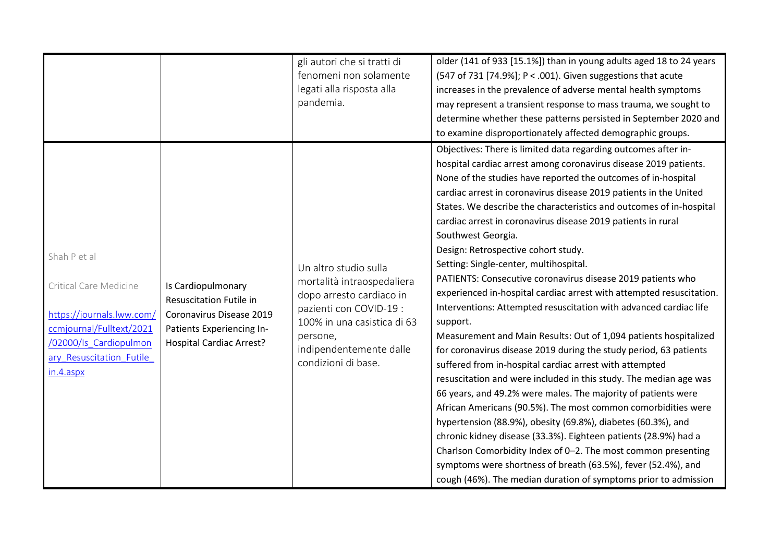|                                                                                                                                                                     |                                                                                                                                           | fenomeni non solamente<br>legati alla risposta alla<br>pandemia.                                                                                                                                        | (547 of 731 [74.9%]; P < .001). Given suggestions that acute<br>increases in the prevalence of adverse mental health symptoms<br>may represent a transient response to mass trauma, we sought to<br>determine whether these patterns persisted in September 2020 and<br>to examine disproportionately affected demographic groups.<br>Objectives: There is limited data regarding outcomes after in-                                                                                                                                                                                                                                                                                                                                                                                                                                                                                                                                                                                                                                                                                                                                                                                                                                                                                                                                                                                                                            |
|---------------------------------------------------------------------------------------------------------------------------------------------------------------------|-------------------------------------------------------------------------------------------------------------------------------------------|---------------------------------------------------------------------------------------------------------------------------------------------------------------------------------------------------------|---------------------------------------------------------------------------------------------------------------------------------------------------------------------------------------------------------------------------------------------------------------------------------------------------------------------------------------------------------------------------------------------------------------------------------------------------------------------------------------------------------------------------------------------------------------------------------------------------------------------------------------------------------------------------------------------------------------------------------------------------------------------------------------------------------------------------------------------------------------------------------------------------------------------------------------------------------------------------------------------------------------------------------------------------------------------------------------------------------------------------------------------------------------------------------------------------------------------------------------------------------------------------------------------------------------------------------------------------------------------------------------------------------------------------------|
| Shah P et al<br>Critical Care Medicine<br>https://journals.lww.com/<br>ccmjournal/Fulltext/2021<br>/02000/ls_Cardiopulmon<br>ary_Resuscitation_Futile_<br>in.4.aspx | Is Cardiopulmonary<br>Resuscitation Futile in<br>Coronavirus Disease 2019<br>Patients Experiencing In-<br><b>Hospital Cardiac Arrest?</b> | Un altro studio sulla<br>mortalità intraospedaliera<br>dopo arresto cardiaco in<br>pazienti con COVID-19 :<br>100% in una casistica di 63<br>persone,<br>indipendentemente dalle<br>condizioni di base. | hospital cardiac arrest among coronavirus disease 2019 patients.<br>None of the studies have reported the outcomes of in-hospital<br>cardiac arrest in coronavirus disease 2019 patients in the United<br>States. We describe the characteristics and outcomes of in-hospital<br>cardiac arrest in coronavirus disease 2019 patients in rural<br>Southwest Georgia.<br>Design: Retrospective cohort study.<br>Setting: Single-center, multihospital.<br>PATIENTS: Consecutive coronavirus disease 2019 patients who<br>experienced in-hospital cardiac arrest with attempted resuscitation.<br>Interventions: Attempted resuscitation with advanced cardiac life<br>support.<br>Measurement and Main Results: Out of 1,094 patients hospitalized<br>for coronavirus disease 2019 during the study period, 63 patients<br>suffered from in-hospital cardiac arrest with attempted<br>resuscitation and were included in this study. The median age was<br>66 years, and 49.2% were males. The majority of patients were<br>African Americans (90.5%). The most common comorbidities were<br>hypertension (88.9%), obesity (69.8%), diabetes (60.3%), and<br>chronic kidney disease (33.3%). Eighteen patients (28.9%) had a<br>Charlson Comorbidity Index of 0-2. The most common presenting<br>symptoms were shortness of breath (63.5%), fever (52.4%), and<br>cough (46%). The median duration of symptoms prior to admission |